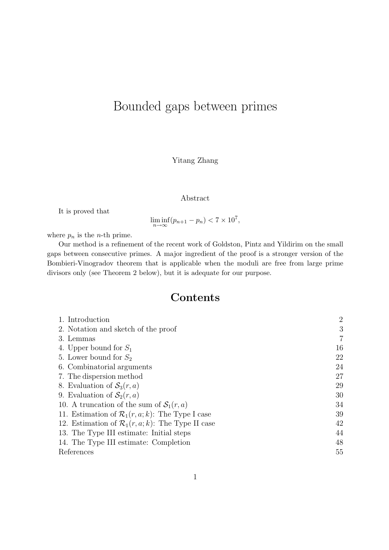# Bounded gaps between primes

Yitang Zhang

#### Abstract

It is proved that

 $\liminf_{n \to \infty} (p_{n+1} - p_n) < 7 \times 10^7,$ 

where  $p_n$  is the *n*-th prime.

Our method is a refinement of the recent work of Goldston, Pintz and Yildirim on the small gaps between consecutive primes. A major ingredient of the proof is a stronger version of the Bombieri-Vinogradov theorem that is applicable when the moduli are free from large prime divisors only (see Theorem 2 below), but it is adequate for our purpose.

### Contents

| 1. Introduction                                               | $\overline{2}$ |
|---------------------------------------------------------------|----------------|
| 2. Notation and sketch of the proof                           | 3              |
| 3. Lemmas                                                     | $\overline{7}$ |
| 4. Upper bound for $S_1$                                      | 16             |
| 5. Lower bound for $S_2$                                      | 22             |
| 6. Combinatorial arguments                                    | 24             |
| 7. The dispersion method                                      | 27             |
| 8. Evaluation of $S_3(r, a)$                                  | 29             |
| 9. Evaluation of $S_2(r, a)$                                  | 30             |
| 10. A truncation of the sum of $S_1(r, a)$                    | 34             |
| 11. Estimation of $\mathcal{R}_1(r, a; k)$ : The Type I case  | 39             |
| 12. Estimation of $\mathcal{R}_1(r, a; k)$ : The Type II case | 42             |
| 13. The Type III estimate: Initial steps                      | 44             |
| 14. The Type III estimate: Completion                         | 48             |
| References                                                    | 55             |
|                                                               |                |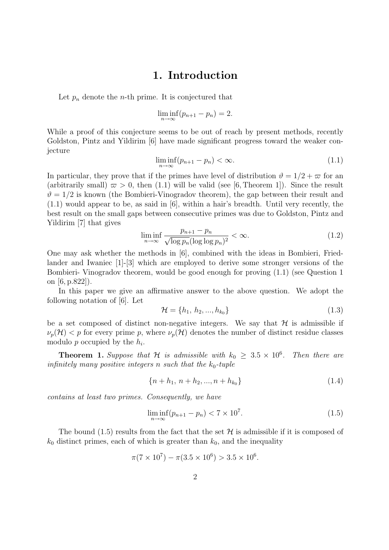#### 1. Introduction

Let  $p_n$  denote the *n*-th prime. It is conjectured that

$$
\liminf_{n \to \infty} (p_{n+1} - p_n) = 2.
$$

While a proof of this conjecture seems to be out of reach by present methods, recently Goldston, Pintz and Yildirim [6] have made significant progress toward the weaker conjecture

$$
\liminf_{n \to \infty} (p_{n+1} - p_n) < \infty. \tag{1.1}
$$

In particular, they prove that if the primes have level of distribution  $\vartheta = 1/2 + \varpi$  for an (arbitrarily small)  $\varpi > 0$ , then (1.1) will be valid (see [6, Theorem 1]). Since the result  $\vartheta = 1/2$  is known (the Bombieri-Vinogradov theorem), the gap between their result and (1.1) would appear to be, as said in [6], within a hair's breadth. Until very recently, the best result on the small gaps between consecutive primes was due to Goldston, Pintz and Yildirim [7] that gives

$$
\liminf_{n \to \infty} \frac{p_{n+1} - p_n}{\sqrt{\log p_n} (\log \log p_n)^2} < \infty. \tag{1.2}
$$

One may ask whether the methods in [6], combined with the ideas in Bombieri, Friedlander and Iwaniec [1]-[3] which are employed to derive some stronger versions of the Bombieri- Vinogradov theorem, would be good enough for proving (1.1) (see Question 1 on [6, p.822]).

In this paper we give an affirmative answer to the above question. We adopt the following notation of [6]. Let

$$
\mathcal{H} = \{h_1, h_2, ..., h_{k_0}\}\tag{1.3}
$$

be a set composed of distinct non-negative integers. We say that  $H$  is admissible if  $\nu_p(\mathcal{H})$  < p for every prime p, where  $\nu_p(\mathcal{H})$  denotes the number of distinct residue classes modulo  $p$  occupied by the  $h_i$ .

**Theorem 1.** Suppose that H is admissible with  $k_0 \geq 3.5 \times 10^6$ . Then there are infinitely many positive integers n such that the  $k_0$ -tuple

$$
\{n+h_1, n+h_2, ..., n+h_{k_0}\}\tag{1.4}
$$

contains at least two primes. Consequently, we have

$$
\liminf_{n \to \infty} (p_{n+1} - p_n) < 7 \times 10^7. \tag{1.5}
$$

The bound (1.5) results from the fact that the set  $\mathcal H$  is admissible if it is composed of  $k_0$  distinct primes, each of which is greater than  $k_0$ , and the inequality

$$
\pi(7 \times 10^7) - \pi(3.5 \times 10^6) > 3.5 \times 10^6.
$$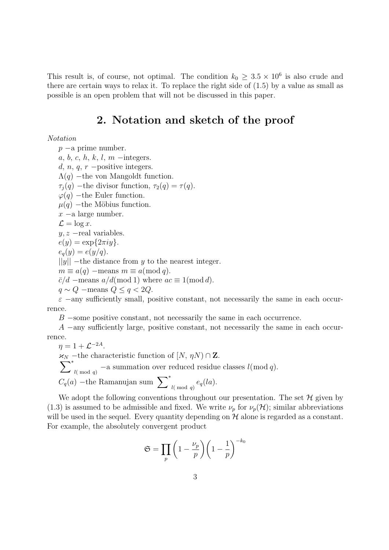This result is, of course, not optimal. The condition  $k_0 \geq 3.5 \times 10^6$  is also crude and there are certain ways to relax it. To replace the right side of (1.5) by a value as small as possible is an open problem that will not be discussed in this paper.

#### 2. Notation and sketch of the proof

Notation

p −a prime number.  $a, b, c, h, k, l, m -$ integers. d, n, q, r  $-positive$  integers.  $\Lambda(q)$  –the von Mangoldt function.  $\tau_i(q)$  –the divisor function,  $\tau_2(q) = \tau(q)$ .  $\varphi(q)$  –the Euler function.  $\mu(q)$  –the Möbius function.  $x$  −a large number.  $\mathcal{L} = \log x$ .  $y, z$  –real variables.  $e(y) = \exp\{2\pi iy\}.$  $e_q(y) = e(y/q).$  $||y||$  –the distance from y to the nearest integer.  $m \equiv a(q)$  –means  $m \equiv a \pmod{q}$ .  $\bar{c}/d$  –means  $a/d \text{(mod 1)}$  where  $ac \equiv 1 \text{(mod } d)$ .  $q \sim Q$  –means  $Q \leq q < 2Q$ .

 $\varepsilon$  −any sufficiently small, positive constant, not necessarily the same in each occurrence.

 $B$  –some positive constant, not necessarily the same in each occurrence.

A −any sufficiently large, positive constant, not necessarily the same in each occurrence.

 $\eta = 1 + \mathcal{L}^{-2A}.$  $\mathcal{H}_N$  –the characteristic function of  $[N, \eta N) \cap \mathbf{Z}$ . X ∗  $l(\text{mod } q)$  – a summation over reduced residue classes  $l(\text{mod } q)$ .  $C_q(a)$  – the Ramanujan sum  $\sum_{l \pmod{q}}^* e_q(la)$ .

We adopt the following conventions throughout our presentation. The set  $\mathcal H$  given by (1.3) is assumed to be admissible and fixed. We write  $\nu_p$  for  $\nu_p(\mathcal{H})$ ; similar abbreviations will be used in the sequel. Every quantity depending on  $H$  alone is regarded as a constant. For example, the absolutely convergent product

$$
\mathfrak{S} = \prod_{p} \left( 1 - \frac{\nu_p}{p} \right) \left( 1 - \frac{1}{p} \right)^{-k_0}
$$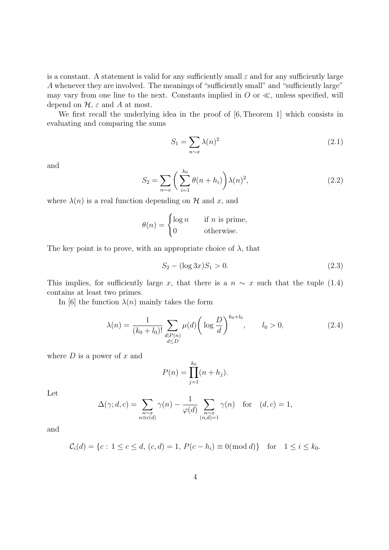is a constant. A statement is valid for any sufficiently small  $\varepsilon$  and for any sufficiently large A whenever they are involved. The meanings of "sufficiently small" and "sufficiently large" may vary from one line to the next. Constants implied in  $O$  or  $\ll$ , unless specified, will depend on  $\mathcal{H}$ ,  $\varepsilon$  and A at most.

We first recall the underlying idea in the proof of  $[6,$  Theorem 1 which consists in evaluating and comparing the sums

$$
S_1 = \sum_{n \sim x} \lambda(n)^2 \tag{2.1}
$$

and

$$
S_2 = \sum_{n \sim x} \left( \sum_{i=1}^{k_0} \theta(n + h_i) \right) \lambda(n)^2,
$$
 (2.2)

where  $\lambda(n)$  is a real function depending on H and x, and

$$
\theta(n) = \begin{cases} \log n & \text{if } n \text{ is prime,} \\ 0 & \text{otherwise.} \end{cases}
$$

The key point is to prove, with an appropriate choice of  $\lambda$ , that

$$
S_2 - (\log 3x)S_1 > 0. \tag{2.3}
$$

This implies, for sufficiently large x, that there is a  $n \sim x$  such that the tuple (1.4) contains at least two primes.

In [6] the function  $\lambda(n)$  mainly takes the form

$$
\lambda(n) = \frac{1}{(k_0 + l_0)!} \sum_{\substack{d \mid P(n) \\ d \le D}} \mu(d) \left( \log \frac{D}{d} \right)^{k_0 + l_0}, \qquad l_0 > 0,
$$
\n(2.4)

where  $D$  is a power of  $x$  and

$$
P(n) = \prod_{j=1}^{k_0} (n + h_j).
$$

Let

$$
\Delta(\gamma; d, c) = \sum_{\substack{n \sim x \\ n \equiv c(d)}} \gamma(n) - \frac{1}{\varphi(d)} \sum_{\substack{n \sim x \\ (n,d) = 1}} \gamma(n) \quad \text{for} \quad (d, c) = 1,
$$

and

$$
C_i(d) = \{c : 1 \le c \le d, (c, d) = 1, P(c - h_i) \equiv 0 \pmod{d}\} \text{ for } 1 \le i \le k_0.
$$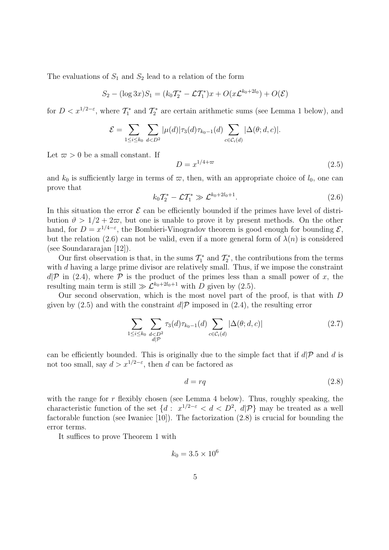The evaluations of  $S_1$  and  $S_2$  lead to a relation of the form

$$
S_2 - (\log 3x)S_1 = (k_0 T_2^* - \mathcal{L}T_1^*)x + O(x\mathcal{L}^{k_0+2l_0}) + O(\mathcal{E})
$$

for  $D < x^{1/2-\epsilon}$ , where  $\mathcal{T}_1^*$  and  $\mathcal{T}_2^*$  are certain arithmetic sums (see Lemma 1 below), and

$$
\mathcal{E} = \sum_{1 \leq i \leq k_0} \sum_{d < D^2} |\mu(d)| \tau_3(d) \tau_{k_0 - 1}(d) \sum_{c \in \mathcal{C}_i(d)} |\Delta(\theta; d, c)|.
$$

Let  $\varpi > 0$  be a small constant. If

$$
D = x^{1/4 + \varpi} \tag{2.5}
$$

and  $k_0$  is sufficiently large in terms of  $\varpi$ , then, with an appropriate choice of  $l_0$ , one can prove that

$$
k_0 T_2^* - \mathcal{L} T_1^* \gg \mathcal{L}^{k_0 + 2l_0 + 1}.
$$
 (2.6)

In this situation the error  $\mathcal E$  can be efficiently bounded if the primes have level of distribution  $\vartheta > 1/2 + 2\varpi$ , but one is unable to prove it by present methods. On the other hand, for  $D = x^{1/4-\epsilon}$ , the Bombieri-Vinogradov theorem is good enough for bounding  $\mathcal{E}$ , but the relation (2.6) can not be valid, even if a more general form of  $\lambda(n)$  is considered (see Soundararajan [12]).

Our first observation is that, in the sums  $\mathcal{T}_1^*$  and  $\mathcal{T}_2^*$ , the contributions from the terms with d having a large prime divisor are relatively small. Thus, if we impose the constraint  $d\mathcal{P}$  in (2.4), where  $\mathcal P$  is the product of the primes less than a small power of x, the resulting main term is still  $\gg \mathcal{L}^{k_0+2l_0+1}$  with D given by (2.5).

Our second observation, which is the most novel part of the proof, is that with D given by  $(2.5)$  and with the constraint  $d\mathcal{P}$  imposed in  $(2.4)$ , the resulting error

$$
\sum_{1 \le i \le k_0} \sum_{\substack{d < D^2 \\ d| \mathcal{P}} } \tau_3(d) \tau_{k_0 - 1}(d) \sum_{c \in \mathcal{C}_i(d)} |\Delta(\theta; d, c)| \tag{2.7}
$$

can be efficiently bounded. This is originally due to the simple fact that if  $d\mathcal{P}$  and d is not too small, say  $d > x^{1/2-\epsilon}$ , then d can be factored as

$$
d = rq \tag{2.8}
$$

with the range for  $r$  flexibly chosen (see Lemma 4 below). Thus, roughly speaking, the characteristic function of the set  $\{d: x^{1/2-\epsilon} < d < D^2, d|\mathcal{P}\}\$  may be treated as a well factorable function (see Iwaniec [10]). The factorization (2.8) is crucial for bounding the error terms.

It suffices to prove Theorem 1 with

$$
k_0 = 3.5 \times 10^6
$$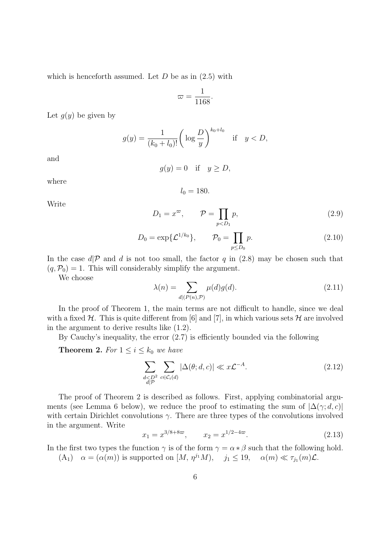which is henceforth assumed. Let  $D$  be as in  $(2.5)$  with

$$
\varpi = \frac{1}{1168}.
$$

Let  $g(y)$  be given by

$$
g(y) = \frac{1}{(k_0 + l_0)!} \left( \log \frac{D}{y} \right)^{k_0 + l_0} \quad \text{if} \quad y < D,
$$

and

$$
g(y) = 0 \quad \text{if} \quad y \ge D,
$$

where

$$
l_0=180.
$$

Write

$$
D_1 = x^{\varpi}, \qquad \mathcal{P} = \prod_{p < D_1} p,\tag{2.9}
$$

$$
D_0 = \exp{\{\mathcal{L}^{1/k_0}\}}, \qquad \mathcal{P}_0 = \prod_{p \le D_0} p. \tag{2.10}
$$

In the case  $d\mathcal{P}$  and d is not too small, the factor q in (2.8) may be chosen such that  $(q, \mathcal{P}_0) = 1$ . This will considerably simplify the argument.

We choose

$$
\lambda(n) = \sum_{d \mid (P(n), \mathcal{P})} \mu(d)g(d). \tag{2.11}
$$

In the proof of Theorem 1, the main terms are not difficult to handle, since we deal with a fixed  $H$ . This is quite different from [6] and [7], in which various sets  $H$  are involved in the argument to derive results like (1.2).

By Cauchy's inequality, the error (2.7) is efficiently bounded via the following

**Theorem 2.** For  $1 \leq i \leq k_0$  we have

$$
\sum_{\substack{d < D^2 \\ d \mid \mathcal{P}}} \sum_{c \in \mathcal{C}_i(d)} |\Delta(\theta; d, c)| \ll x \mathcal{L}^{-A}.
$$
\n(2.12)

The proof of Theorem 2 is described as follows. First, applying combinatorial arguments (see Lemma 6 below), we reduce the proof to estimating the sum of  $|\Delta(\gamma; d, c)|$ with certain Dirichlet convolutions  $\gamma$ . There are three types of the convolutions involved in the argument. Write

$$
x_1 = x^{3/8 + 8\varpi}, \qquad x_2 = x^{1/2 - 4\varpi}.\tag{2.13}
$$

In the first two types the function  $\gamma$  is of the form  $\gamma = \alpha * \beta$  such that the following hold.

 $(A_1)$   $\alpha = (\alpha(m))$  is supported on  $[M, \eta^{j_1}M), j_1 \leq 19, \alpha(m) \ll \tau_{j_1}(m)\mathcal{L}.$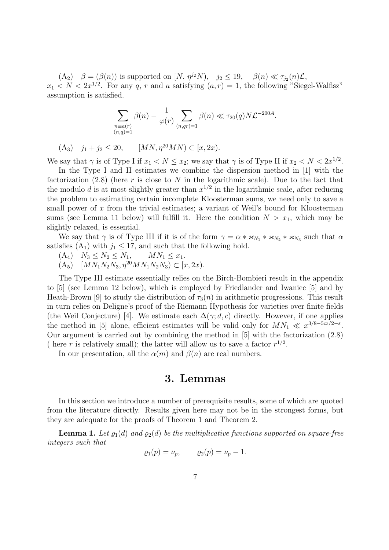$(A_2)$   $\beta = (\beta(n))$  is supported on  $[N, \eta^{j_2}N), j_2 \leq 19, \beta(n) \ll \tau_{j_2}(n)\mathcal{L},$  $x_1 < N < 2x^{1/2}$ . For any q, r and a satisfying  $(a, r) = 1$ , the following "Siegel-Walfisz" assumption is satisfied.

$$
\sum_{\substack{n \equiv a(r) \\ (n,q)=1}} \beta(n) - \frac{1}{\varphi(r)} \sum_{(n,qr)=1} \beta(n) \ll \tau_{20}(q) N \mathcal{L}^{-200A}.
$$

(A<sub>3</sub>)  $j_1 + j_2 \le 20$ ,  $[MN, \eta^{20}MN) \subset [x, 2x)$ .

We say that  $\gamma$  is of Type I if  $x_1 < N \le x_2$ ; we say that  $\gamma$  is of Type II if  $x_2 < N < 2x^{1/2}$ .

In the Type I and II estimates we combine the dispersion method in [1] with the factorization  $(2.8)$  (here r is close to N in the logarithmic scale). Due to the fact that the modulo d is at most slightly greater than  $x^{1/2}$  in the logarithmic scale, after reducing the problem to estimating certain incomplete Kloosterman sums, we need only to save a small power of x from the trivial estimates; a variant of Weil's bound for Kloosterman sums (see Lemma 11 below) will fulfill it. Here the condition  $N > x_1$ , which may be slightly relaxed, is essential.

We say that  $\gamma$  is of Type III if it is of the form  $\gamma = \alpha * \varkappa_{N_1} * \varkappa_{N_2} * \varkappa_{N_3}$  such that  $\alpha$ satisfies  $(A_1)$  with  $j_1 \leq 17$ , and such that the following hold.

 $(A_4)$   $N_3 \leq N_2 \leq N_1$ ,  $MN_1 \leq x_1$ .

 $(A_5)$   $[MN_1N_2N_3, \eta^{20}MN_1N_2N_3) \subset [x, 2x)$ .

The Type III estimate essentially relies on the Birch-Bombieri result in the appendix to [5] (see Lemma 12 below), which is employed by Friedlander and Iwaniec [5] and by Heath-Brown [9] to study the distribution of  $\tau_3(n)$  in arithmetic progressions. This result in turn relies on Deligne's proof of the Riemann Hypothesis for varieties over finite fields (the Weil Conjecture) [4]. We estimate each  $\Delta(\gamma; d, c)$  directly. However, if one applies the method in [5] alone, efficient estimates will be valid only for  $MN_1 \ll x^{3/8-5\varpi/2-\varepsilon}$ . Our argument is carried out by combining the method in [5] with the factorization (2.8) ( here r is relatively small); the latter will allow us to save a factor  $r^{1/2}$ .

In our presentation, all the  $\alpha(m)$  and  $\beta(n)$  are real numbers.

#### 3. Lemmas

In this section we introduce a number of prerequisite results, some of which are quoted from the literature directly. Results given here may not be in the strongest forms, but they are adequate for the proofs of Theorem 1 and Theorem 2.

**Lemma 1.** Let  $\rho_1(d)$  and  $\rho_2(d)$  be the multiplicative functions supported on square-free integers such that

$$
\varrho_1(p) = \nu_p, \qquad \varrho_2(p) = \nu_p - 1.
$$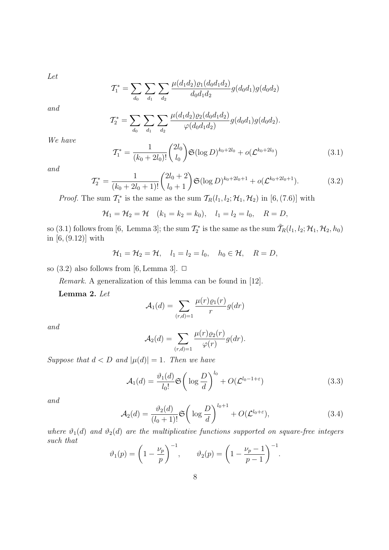Let

$$
\mathcal{T}_1^* = \sum_{d_0} \sum_{d_1} \sum_{d_2} \frac{\mu(d_1 d_2) \varrho_1(d_0 d_1 d_2)}{d_0 d_1 d_2} g(d_0 d_1) g(d_0 d_2)
$$

and

$$
\mathcal{T}_2^* = \sum_{d_0} \sum_{d_1} \sum_{d_2} \frac{\mu(d_1 d_2) \varrho_2(d_0 d_1 d_2)}{\varphi(d_0 d_1 d_2)} g(d_0 d_1) g(d_0 d_2).
$$

We have

$$
\mathcal{T}_1^* = \frac{1}{(k_0 + 2l_0)!} \binom{2l_0}{l_0} \mathfrak{S}(\log D)^{k_0 + 2l_0} + o(\mathcal{L}^{k_0 + 2l_0}) \tag{3.1}
$$

and

$$
\mathcal{T}_2^* = \frac{1}{(k_0 + 2l_0 + 1)!} \binom{2l_0 + 2}{l_0 + 1} \mathfrak{S}(\log D)^{k_0 + 2l_0 + 1} + o(\mathcal{L}^{k_0 + 2l_0 + 1}).\tag{3.2}
$$

*Proof.* The sum  $\mathcal{T}_1^*$  is the same as the sum  $\mathcal{T}_R(l_1, l_2; \mathcal{H}_1, \mathcal{H}_2)$  in [6, (7.6)] with

$$
\mathcal{H}_1 = \mathcal{H}_2 = \mathcal{H} \quad (k_1 = k_2 = k_0), \quad l_1 = l_2 = l_0, \quad R = D,
$$

so (3.1) follows from [6, Lemma 3]; the sum  $\mathcal{T}_2^*$  is the same as the sum  $\tilde{\mathcal{T}}_R(l_1,l_2;\mathcal{H}_1,\mathcal{H}_2,h_0)$ in [6, (9.12)] with

$$
\mathcal{H}_1=\mathcal{H}_2=\mathcal{H}, \quad l_1=l_2=l_0, \quad h_0\in\mathcal{H}, \quad R=D,
$$

so  $(3.2)$  also follows from [6, Lemma 3].  $\Box$ 

Remark. A generalization of this lemma can be found in [12].

Lemma 2. Let

$$
\mathcal{A}_1(d) = \sum_{(r,d)=1} \frac{\mu(r)\varrho_1(r)}{r} g(dr)
$$

and

$$
\mathcal{A}_2(d) = \sum_{(r,d)=1} \frac{\mu(r)\varrho_2(r)}{\varphi(r)} g(dr).
$$

Suppose that  $d < D$  and  $|\mu(d)| = 1$ . Then we have

$$
\mathcal{A}_1(d) = \frac{\vartheta_1(d)}{l_0!} \mathfrak{S}\left(\log \frac{D}{d}\right)^{l_0} + O(\mathcal{L}^{l_0 - 1 + \varepsilon})
$$
\n(3.3)

and

$$
\mathcal{A}_2(d) = \frac{\vartheta_2(d)}{(l_0+1)!} \mathfrak{S}\left(\log \frac{D}{d}\right)^{l_0+1} + O(\mathcal{L}^{l_0+\varepsilon}),\tag{3.4}
$$

where  $\vartheta_1(d)$  and  $\vartheta_2(d)$  are the multiplicative functions supported on square-free integers such that

$$
\vartheta_1(p) = \left(1 - \frac{\nu_p}{p}\right)^{-1}, \qquad \vartheta_2(p) = \left(1 - \frac{\nu_p - 1}{p - 1}\right)^{-1}.
$$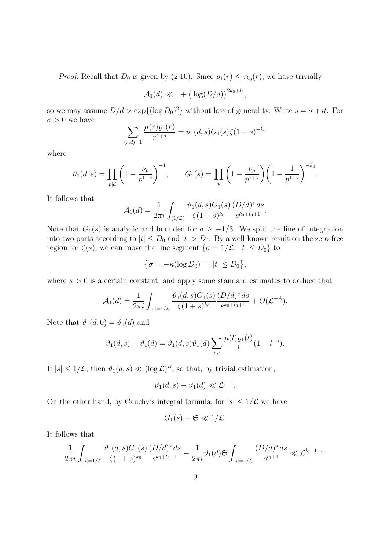*Proof.* Recall that  $D_0$  is given by (2.10). Since  $\rho_1(r) \leq \tau_{k_0}(r)$ , we have trivially

$$
\mathcal{A}_1(d) \ll 1 + \big(\log(D/d)\big)^{2k_0 + l_0},
$$

so we may assume  $D/d > \exp\{(\log D_0)^2\}$  without loss of generality. Write  $s = \sigma + it$ . For  $\sigma > 0$  we have

$$
\sum_{(r,d)=1} \frac{\mu(r)\varrho_1(r)}{r^{1+s}} = \vartheta_1(d,s)G_1(s)\zeta(1+s)^{-k_0}
$$

where

$$
\vartheta_1(d,s) = \prod_{p|d} \left(1 - \frac{\nu_p}{p^{1+s}}\right)^{-1}, \qquad G_1(s) = \prod_p \left(1 - \frac{\nu_p}{p^{1+s}}\right) \left(1 - \frac{1}{p^{1+s}}\right)^{-k_0}.
$$

It follows that

$$
\mathcal{A}_1(d) = \frac{1}{2\pi i} \int_{(1/\mathcal{L})} \frac{\vartheta_1(d,s) G_1(s)}{\zeta(1+s)^{k_0}} \frac{(D/d)^s ds}{s^{k_0+l_0+1}}.
$$

Note that  $G_1(s)$  is analytic and bounded for  $\sigma \geq -1/3$ . We split the line of integration into two parts according to  $|t| \leq D_0$  and  $|t| > D_0$ . By a well-known result on the zero-free region for  $\zeta(s)$ , we can move the line segment  $\{\sigma = 1/\mathcal{L}, |t| \leq D_0\}$  to

$$
\left\{\sigma = -\kappa (\log D_0)^{-1}, \, |t| \le D_0\right\},\
$$

where  $\kappa > 0$  is a certain constant, and apply some standard estimates to deduce that

$$
\mathcal{A}_1(d) = \frac{1}{2\pi i} \int_{|s|=1/\mathcal{L}} \frac{\vartheta_1(d,s)G_1(s)}{\zeta(1+s)^{k_0}} \frac{(D/d)^s ds}{s^{k_0+l_0+1}} + O(\mathcal{L}^{-A}).
$$

Note that  $\vartheta_1(d, 0) = \vartheta_1(d)$  and

$$
\vartheta_1(d,s) - \vartheta_1(d) = \vartheta_1(d,s)\vartheta_1(d) \sum_{l|d} \frac{\mu(l)\varrho_1(l)}{l} (1 - l^{-s}).
$$

If  $|s| \leq 1/\mathcal{L}$ , then  $\vartheta_1(d, s) \ll (\log \mathcal{L})^B$ , so that, by trivial estimation,

$$
\vartheta_1(d,s)-\vartheta_1(d)\ll \mathcal{L}^{\varepsilon-1}.
$$

On the other hand, by Cauchy's integral formula, for  $|s| \leq 1/\mathcal{L}$  we have

$$
G_1(s) - \mathfrak{S} \ll 1/\mathcal{L}.
$$

It follows that

$$
\frac{1}{2\pi i} \int_{|s|=1/\mathcal{L}} \frac{\vartheta_1(d,s) G_1(s)}{\zeta(1+s)^{k_0}} \frac{(D/d)^s \, ds}{s^{k_0+l_0+1}} - \frac{1}{2\pi i} \vartheta_1(d) \mathfrak{S} \int_{|s|=1/\mathcal{L}} \frac{(D/d)^s \, ds}{s^{l_0+1}} \ll \mathcal{L}^{l_0-1+\varepsilon}.
$$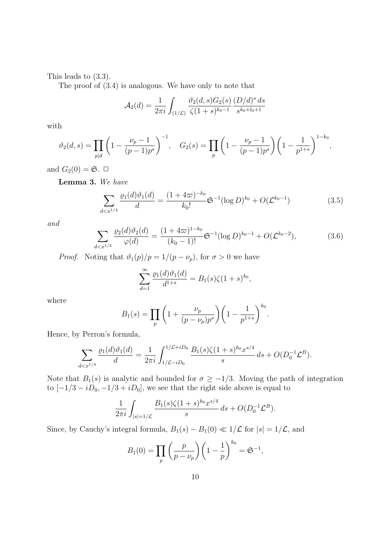This leads to (3.3).

The proof of (3.4) is analogous. We have only to note that

$$
\mathcal{A}_2(d) = \frac{1}{2\pi i} \int_{(1/\mathcal{L})} \frac{\vartheta_2(d,s) G_2(s)}{\zeta(1+s)^{k_0-1}} \frac{(D/d)^s ds}{s^{k_0+l_0+1}}
$$

with

$$
\vartheta_2(d,s) = \prod_{p|d} \left( 1 - \frac{\nu_p - 1}{(p-1)p^s} \right)^{-1}, \quad G_2(s) = \prod_p \left( 1 - \frac{\nu_p - 1}{(p-1)p^s} \right) \left( 1 - \frac{1}{p^{1+s}} \right)^{1-k_0},
$$

and  $G_2(0) = \mathfrak{S}$ .  $\Box$ 

Lemma 3. We have

$$
\sum_{d < x^{1/4}} \frac{\varrho_1(d)\vartheta_1(d)}{d} = \frac{(1+4\varpi)^{-k_0}}{k_0!} \mathfrak{S}^{-1}(\log D)^{k_0} + O(\mathcal{L}^{k_0-1})\tag{3.5}
$$

and

$$
\sum_{d < x^{1/4}} \frac{\varrho_2(d)\vartheta_2(d)}{\varphi(d)} = \frac{(1+4\varpi)^{1-k_0}}{(k_0-1)!} \mathfrak{S}^{-1}(\log D)^{k_0-1} + O(\mathcal{L}^{k_0-2}),\tag{3.6}
$$

*Proof.* Noting that  $\vartheta_1(p)/p = 1/(p - \nu_p)$ , for  $\sigma > 0$  we have

$$
\sum_{d=1}^{\infty} \frac{\varrho_1(d)\vartheta_1(d)}{d^{1+s}} = B_1(s)\zeta(1+s)^{k_0},
$$

where

$$
B_1(s) = \prod_p \left( 1 + \frac{\nu_p}{(p - \nu_p)p^s} \right) \left( 1 - \frac{1}{p^{1+s}} \right)^{k_0}.
$$

Hence, by Perron's formula,

$$
\sum_{d < x^{1/4}} \frac{\varrho_1(d)\vartheta_1(d)}{d} = \frac{1}{2\pi i} \int_{1/\mathcal{L} - iD_0}^{1/\mathcal{L} + iD_0} \frac{B_1(s)\zeta(1+s)^{k_0}x^{s/4}}{s} \, ds + O(D_0^{-1}\mathcal{L}^B).
$$

Note that  $B_1(s)$  is analytic and bounded for  $\sigma \ge -1/3$ . Moving the path of integration to  $[-1/3 - iD_0, -1/3 + iD_0]$ , we see that the right side above is equal to

$$
\frac{1}{2\pi i} \int_{|s|=1/\mathcal{L}} \frac{B_1(s)\zeta(1+s)^{k_0} x^{s/4}}{s} ds + O(D_0^{-1} \mathcal{L}^B).
$$

Since, by Cauchy's integral formula,  $B_1(s) - B_1(0) \ll 1/\mathcal{L}$  for  $|s| = 1/\mathcal{L}$ , and

$$
B_1(0) = \prod_p \left(\frac{p}{p - \nu_p}\right) \left(1 - \frac{1}{p}\right)^{k_0} = \mathfrak{S}^{-1},
$$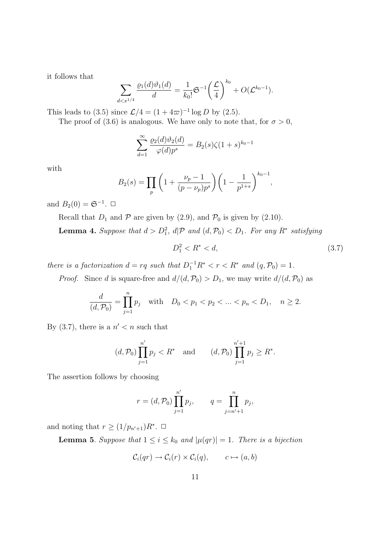it follows that

$$
\sum_{d < x^{1/4}} \frac{\varrho_1(d)\vartheta_1(d)}{d} = \frac{1}{k_0!} \mathfrak{S}^{-1} \bigg(\frac{\mathcal{L}}{4}\bigg)^{k_0} + O(\mathcal{L}^{k_0 - 1}).
$$

This leads to (3.5) since  $\mathcal{L}/4 = (1 + 4\varpi)^{-1} \log D$  by (2.5).

The proof of (3.6) is analogous. We have only to note that, for  $\sigma > 0$ ,

$$
\sum_{d=1}^{\infty} \frac{\varrho_2(d)\vartheta_2(d)}{\varphi(d)p^s}=B_2(s)\zeta(1+s)^{k_0-1}
$$

with

$$
B_2(s) = \prod_p \left( 1 + \frac{\nu_p - 1}{(p - \nu_p)p^s} \right) \left( 1 - \frac{1}{p^{1+s}} \right)^{k_0 - 1},
$$

and  $B_2(0) = \mathfrak{S}^{-1}$ .  $\Box$ 

Recall that  $D_1$  and  $\mathcal P$  are given by (2.9), and  $\mathcal P_0$  is given by (2.10).

**Lemma 4.** Suppose that  $d > D_1^2$ ,  $d\mathcal{P}$  and  $(d, \mathcal{P}_0) < D_1$ . For any  $R^*$  satisfying

$$
D_1^2 < R^* < d,\tag{3.7}
$$

there is a factorization  $d = rq$  such that  $D_1^{-1}R^* < r < R^*$  and  $(q, \mathcal{P}_0) = 1$ .

*Proof.* Since d is square-free and  $d/(d, \mathcal{P}_0) > D_1$ , we may write  $d/(d, \mathcal{P}_0)$  as

$$
\frac{d}{(d, \mathcal{P}_0)} = \prod_{j=1}^n p_j \quad \text{with} \quad D_0 < p_1 < p_2 < \dots < p_n < D_1, \quad n \ge 2.
$$

By  $(3.7)$ , there is a  $n' < n$  such that

$$
(d, \mathcal{P}_0) \prod_{j=1}^{n'} p_j < R^*
$$
 and  $(d, \mathcal{P}_0) \prod_{j=1}^{n'+1} p_j \ge R^*$ .

The assertion follows by choosing

$$
r = (d, \mathcal{P}_0) \prod_{j=1}^{n'} p_j
$$
,  $q = \prod_{j=n'+1}^{n} p_j$ ,

and noting that  $r \geq (1/p_{n'+1})R^*$ .  $\Box$ 

**Lemma 5.** Suppose that  $1 \leq i \leq k_0$  and  $|\mu(qr)| = 1$ . There is a bijection

$$
C_i(qr) \to C_i(r) \times C_i(q), \qquad c \mapsto (a, b)
$$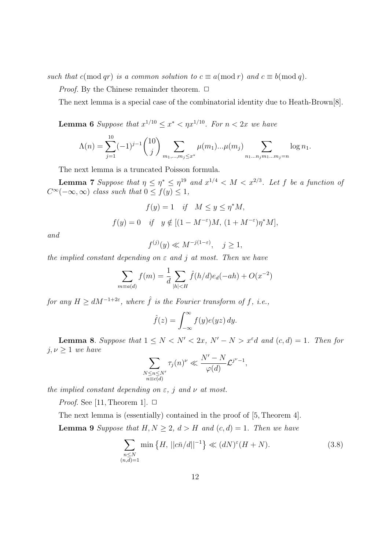such that c(mod qr) is a common solution to  $c \equiv a \pmod{r}$  and  $c \equiv b \pmod{q}$ .

*Proof.* By the Chinese remainder theorem.  $\Box$ 

The next lemma is a special case of the combinatorial identity due to Heath-Brown[8].

**Lemma 6** Suppose that  $x^{1/10} \le x^* < \eta x^{1/10}$ . For  $n < 2x$  we have

$$
\Lambda(n) = \sum_{j=1}^{10} (-1)^{j-1} {10 \choose j} \sum_{m_1, \dots, m_j \le x^*} \mu(m_1) \dots \mu(m_j) \sum_{n_1 \dots n_j m_1 \dots m_j = n} \log n_1.
$$

The next lemma is a truncated Poisson formula.

**Lemma 7** Suppose that  $\eta \leq \eta^* \leq \eta^{19}$  and  $x^{1/4} < M < x^{2/3}$ . Let f be a function of  $C^{\infty}(-\infty,\infty)$  class such that  $0 \le f(y) \le 1$ ,

$$
f(y) = 1 \quad \text{if} \quad M \le y \le \eta^* M,
$$
  

$$
f(y) = 0 \quad \text{if} \quad y \notin [(1 - M^{-\varepsilon})M, (1 + M^{-\varepsilon})\eta^* M],
$$

and

$$
f^{(j)}(y) \ll M^{-j(1-\varepsilon)}, \quad j \ge 1,
$$

the implied constant depending on  $\varepsilon$  and j at most. Then we have

$$
\sum_{m \equiv a(d)} f(m) = \frac{1}{d} \sum_{|h| < H} \hat{f}(h/d) e_d(-ah) + O(x^{-2})
$$

for any  $H \ge dM^{-1+2\varepsilon}$ , where  $\hat{f}$  is the Fourier transform of f, i.e.,

$$
\hat{f}(z) = \int_{-\infty}^{\infty} f(y)e(yz) \, dy.
$$

**Lemma 8.** Suppose that  $1 \leq N < N' < 2x$ ,  $N' - N > x^{\varepsilon}d$  and  $(c, d) = 1$ . Then for  $j, \nu \geq 1$  we have

$$
\sum_{\substack{N \le n \le N' \\ n \equiv c(d)}} \tau_j(n)^{\nu} \ll \frac{N'-N}{\varphi(d)} \mathcal{L}^{j^{\nu}-1},
$$

the implied constant depending on  $\varepsilon$ , j and  $\nu$  at most.

*Proof.* See [11, Theorem 1].  $\Box$ 

The next lemma is (essentially) contained in the proof of [5, Theorem 4].

**Lemma 9** Suppose that  $H, N \geq 2, d > H$  and  $(c,d) = 1$ . Then we have

$$
\sum_{\substack{n \le N \\ (n,d)=1}} \min\left\{H, \, ||c\bar{n}/d||^{-1}\right\} \ll (dN)^{\varepsilon}(H+N). \tag{3.8}
$$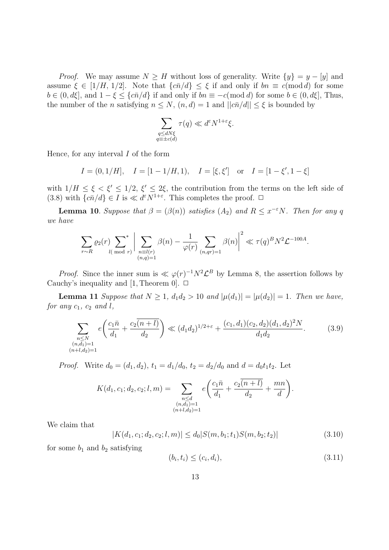*Proof.* We may assume  $N \geq H$  without loss of generality. Write  $\{y\} = y - [y]$  and assume  $\xi \in [1/H, 1/2]$ . Note that  $\{\overline{c}\bar{n}/d\} \leq \xi$  if and only if  $bn \equiv c \pmod{d}$  for some  $b \in (0, d\xi],$  and  $1 - \xi \leq \{\overline{c}\overline{n}/d\}$  if and only if  $bn \equiv -c \pmod{d}$  for some  $b \in (0, d\xi],$  Thus, the number of the n satisfying  $n \leq N$ ,  $(n, d) = 1$  and  $||c\overline{n}/d|| \leq \xi$  is bounded by

$$
\sum_{\substack{q \le dN\xi \\ q \equiv \pm c(d)}} \tau(q) \ll d^{\varepsilon} N^{1+\varepsilon} \xi.
$$

Hence, for any interval  $I$  of the form

$$
I = (0, 1/H],
$$
  $I = [1 - 1/H, 1),$   $I = [\xi, \xi']$  or  $I = [1 - \xi', 1 - \xi]$ 

with  $1/H \leq \xi < \xi' \leq 1/2$ ,  $\xi' \leq 2\xi$ , the contribution from the terms on the left side of  $(3.8)$  with  $\{c\bar{n}/d\} \in I$  is  $\ll d^{\varepsilon}N^{1+\varepsilon}$ . This completes the proof.  $\Box$ 

**Lemma 10**. Suppose that  $\beta = (\beta(n))$  satisfies  $(A_2)$  and  $R \leq x^{-\epsilon}N$ . Then for any q we have

$$
\sum_{r \sim R} \varrho_2(r) \sum_{l (\bmod r)}^* \left| \sum_{\substack{n \equiv l(r) \\ (n,q)=1}} \beta(n) - \frac{1}{\varphi(r)} \sum_{(n,qr)=1} \beta(n) \right|^2 \ll \tau(q)^B N^2 \mathcal{L}^{-100A}.
$$

*Proof.* Since the inner sum is  $\ll \varphi(r)^{-1}N^2\mathcal{L}^B$  by Lemma 8, the assertion follows by Cauchy's inequality and [1, Theorem 0].  $\Box$ 

**Lemma 11** Suppose that  $N \ge 1$ ,  $d_1 d_2 > 10$  and  $|\mu(d_1)| = |\mu(d_2)| = 1$ . Then we have, for any  $c_1$ ,  $c_2$  and  $l$ ,

$$
\sum_{\substack{n \le N \\ (n,d_1)=1 \\ (n+l,d_2)=1}} e\left(\frac{c_1\bar{n}}{d_1} + \frac{c_2\overline{(n+l)}}{d_2}\right) \ll (d_1d_2)^{1/2+\varepsilon} + \frac{(c_1,d_1)(c_2,d_2)(d_1,d_2)^2N}{d_1d_2}.\tag{3.9}
$$

*Proof.* Write  $d_0 = (d_1, d_2), t_1 = d_1/d_0, t_2 = d_2/d_0$  and  $d = d_0t_1t_2$ . Let

$$
K(d_1, c_1; d_2, c_2; l, m) = \sum_{\substack{n \leq d \\ (n, d_1) = 1 \\ (n+l, d_2) = 1}} e\left(\frac{c_1 \bar{n}}{d_1} + \frac{c_2 \bar{n}(n+l)}{d_2} + \frac{mn}{d}\right).
$$

We claim that

$$
|K(d_1, c_1; d_2, c_2; l, m)| \le d_0 |S(m, b_1; t_1)S(m, b_2; t_2)| \tag{3.10}
$$

for some  $b_1$  and  $b_2$  satisfying

$$
(b_i, t_i) \leq (c_i, d_i),\tag{3.11}
$$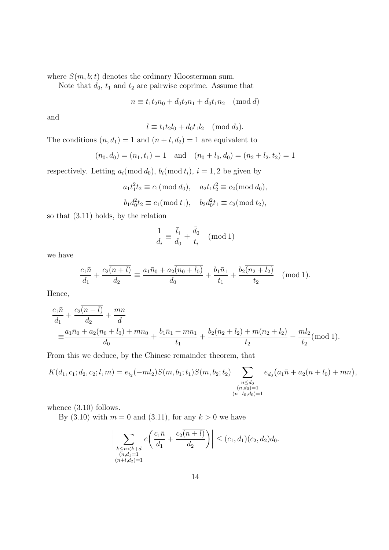where  $S(m, b; t)$  denotes the ordinary Kloosterman sum.

Note that  $d_0$ ,  $t_1$  and  $t_2$  are pairwise coprime. Assume that

 $n \equiv t_1 t_2 n_0 + d_0 t_2 n_1 + d_0 t_1 n_2 \pmod{d}$ 

and

$$
l \equiv t_1 t_2 l_0 + d_0 t_1 l_2 \pmod{d_2}.
$$

The conditions  $(n, d_1) = 1$  and  $(n + l, d_2) = 1$  are equivalent to

$$
(n_0, d_0) = (n_1, t_1) = 1
$$
 and  $(n_0 + l_0, d_0) = (n_2 + l_2, t_2) = 1$ 

respectively. Letting  $a_i \pmod{d_0}$ ,  $b_i \pmod{t_i}$ ,  $i = 1, 2$  be given by

$$
a_1 t_1^2 t_2 \equiv c_1 \pmod{d_0}, \quad a_2 t_1 t_2^2 \equiv c_2 \pmod{d_0},
$$

$$
b_1 d_0^2 t_2 \equiv c_1 \pmod{t_1}, \quad b_2 d_0^2 t_1 \equiv c_2 \pmod{t_2},
$$

so that (3.11) holds, by the relation

$$
\frac{1}{d_i} \equiv \frac{\bar{t}_i}{d_0} + \frac{\bar{d}_0}{t_i} \pmod{1}
$$

we have

$$
\frac{c_1\bar{n}}{d_1} + \frac{c_2\overline{(n+l)}}{d_2} \equiv \frac{a_1\bar{n}_0 + a_2\overline{(n_0+l_0)}}{d_0} + \frac{b_1\bar{n}_1}{t_1} + \frac{b_2\overline{(n_2+l_2)}}{t_2} \pmod{1}.
$$

Hence,

$$
\frac{c_1\bar{n}}{d_1} + \frac{c_2(n+l)}{d_2} + \frac{mn}{d}
$$
\n
$$
\equiv \frac{a_1\bar{n}_0 + a_2(n_0 + l_0) + mn_0}{d_0} + \frac{b_1\bar{n}_1 + mn_1}{t_1} + \frac{b_2(n_2 + l_2) + m(n_2 + l_2)}{t_2} - \frac{ml_2}{t_2}(\text{mod } 1).
$$

From this we deduce, by the Chinese remainder theorem, that

$$
K(d_1, c_1; d_2, c_2; l, m) = e_{t_2}(-ml_2)S(m, b_1; t_1)S(m, b_2; t_2) \sum_{\substack{n \leq d_0 \\ (n, d_0) = 1 \\ (n + l_0, d_0) = 1}} e_{d_0}(a_1\bar{n} + a_2\overline{(n + l_0)} + mn),
$$

whence  $(3.10)$  follows.

By (3.10) with  $m = 0$  and (3.11), for any  $k > 0$  we have

$$
\bigg| \sum_{\substack{k \le n < k+d \\ (n,d_1=1) \\ (n+l,d_2)=1}} e\left(\frac{c_1\bar{n}}{d_1} + \frac{c_2\overline{(n+l)}}{d_2}\right) \bigg| \le (c_1, d_1)(c_2, d_2)d_0.
$$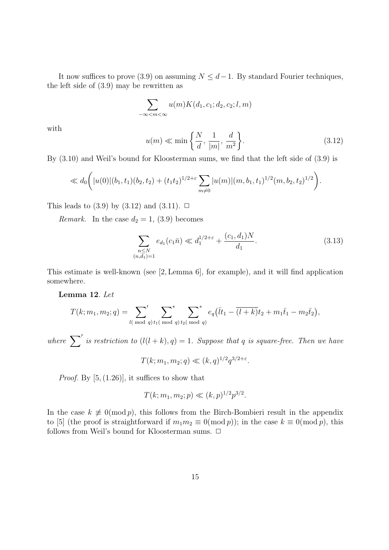It now suffices to prove (3.9) on assuming  $N \leq d-1$ . By standard Fourier techniques, the left side of (3.9) may be rewritten as

$$
\sum_{-\infty < m < \infty} u(m)K(d_1, c_1; d_2, c_2; l, m)
$$

with

$$
u(m) \ll \min\left\{\frac{N}{d}, \frac{1}{|m|}, \frac{d}{m^2}\right\}.
$$
\n(3.12)

By (3.10) and Weil's bound for Kloosterman sums, we find that the left side of (3.9) is

$$
\ll d_0\bigg(|u(0)|(b_1,t_1)(b_2,t_2)+(t_1t_2)^{1/2+\varepsilon}\sum_{m\neq 0}|u(m)|(m,b_1,t_1)^{1/2}(m,b_2,t_2)^{1/2}\bigg).
$$

This leads to  $(3.9)$  by  $(3.12)$  and  $(3.11)$ .  $\Box$ 

*Remark.* In the case  $d_2 = 1$ , (3.9) becomes

$$
\sum_{\substack{n \le N \\ (n,d_1)=1}} e_{d_1}(c_1 \bar{n}) \ll d_1^{1/2+\varepsilon} + \frac{(c_1, d_1)N}{d_1}.
$$
\n(3.13)

This estimate is well-known (see [2, Lemma 6], for example), and it will find application somewhere.

Lemma 12. Let

$$
T(k; m_1, m_2; q) = \sum_{l(\bmod q)}' \sum_{t_1(\bmod q)}^{*} \sum_{t_2(\bmod q)}^{*} e_q(\overline{t_1} - \overline{(l+k)}t_2 + m_1\overline{t}_1 - m_2\overline{t}_2),
$$

where  $\sum'$  is restriction to  $(l(l + k), q) = 1$ . Suppose that q is square-free. Then we have

 $T(k; m_1, m_2; q) \ll (k, q)^{1/2} q^{3/2 + \varepsilon}.$ 

*Proof.* By  $[5, (1.26)]$ , it suffices to show that

$$
T(k; m_1, m_2; p) \ll (k, p)^{1/2} p^{3/2}.
$$

In the case  $k \neq 0 \pmod{p}$ , this follows from the Birch-Bombieri result in the appendix to [5] (the proof is straightforward if  $m_1m_2 \equiv 0 \pmod{p}$ ); in the case  $k \equiv 0 \pmod{p}$ , this follows from Weil's bound for Kloosterman sums.  $\Box$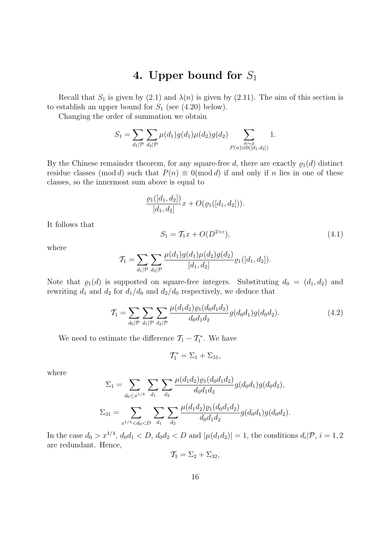#### 4. Upper bound for  $S_1$

Recall that  $S_1$  is given by (2.1) and  $\lambda(n)$  is given by (2.11). The aim of this section is to establish an upper bound for  $S_1$  (see (4.20) below).

Changing the order of summation we obtain

$$
S_1 = \sum_{d_1|\mathcal{P}} \sum_{d_2|\mathcal{P}} \mu(d_1) g(d_1) \mu(d_2) g(d_2) \sum_{\substack{n \sim x \\ P(n) \equiv 0([d_1, d_2])}} 1.
$$

By the Chinese remainder theorem, for any square-free d, there are exactly  $\varrho_1(d)$  distinct residue classes (mod d) such that  $P(n) \equiv 0 \pmod{d}$  if and only if n lies in one of these classes, so the innermost sum above is equal to

$$
\frac{\varrho_1([d_1, d_2])}{[d_1, d_2]}x + O(\varrho_1([d_1, d_2])).
$$

It follows that

$$
S_1 = T_1 x + O(D^{2+\varepsilon}),\tag{4.1}
$$

where

$$
\mathcal{T}_1 = \sum_{d_1|\mathcal{P}} \sum_{d_2|\mathcal{P}} \frac{\mu(d_1)g(d_1)\mu(d_2)g(d_2)}{[d_1, d_2]} \varrho_1([d_1, d_2]).
$$

Note that  $\varrho_1(d)$  is supported on square-free integers. Substituting  $d_0 = (d_1, d_2)$  and rewriting  $d_1$  and  $d_2$  for  $d_1/d_0$  and  $d_2/d_0$  respectively, we deduce that

$$
\mathcal{T}_1 = \sum_{d_0|\mathcal{P}} \sum_{d_1|\mathcal{P}} \sum_{d_2|\mathcal{P}} \frac{\mu(d_1 d_2) \varrho_1(d_0 d_1 d_2)}{d_0 d_1 d_2} g(d_0 d_1) g(d_0 d_2). \tag{4.2}
$$

We need to estimate the difference  $\mathcal{T}_1 - \mathcal{T}_1^*$ . We have

$$
\mathcal{T}_1^* = \Sigma_1 + \Sigma_{31},
$$

where

$$
\Sigma_1 = \sum_{d_0 \leq x^{1/4}} \sum_{d_1} \sum_{d_2} \frac{\mu(d_1 d_2) \varrho_1(d_0 d_1 d_2)}{d_0 d_1 d_2} g(d_0 d_1) g(d_0 d_2),
$$
  

$$
\Sigma_{31} = \sum_{x^{1/4} < d_0 < D} \sum_{d_1} \sum_{d_2} \frac{\mu(d_1 d_2) \varrho_1(d_0 d_1 d_2)}{d_0 d_1 d_2} g(d_0 d_1) g(d_0 d_2).
$$

In the case  $d_0 > x^{1/4}$ ,  $d_0 d_1 < D$ ,  $d_0 d_2 < D$  and  $|\mu(d_1 d_2)| = 1$ , the conditions  $d_i | \mathcal{P}, i = 1, 2$ are redundant. Hence,

$$
\mathcal{T}_1 = \Sigma_2 + \Sigma_{32},
$$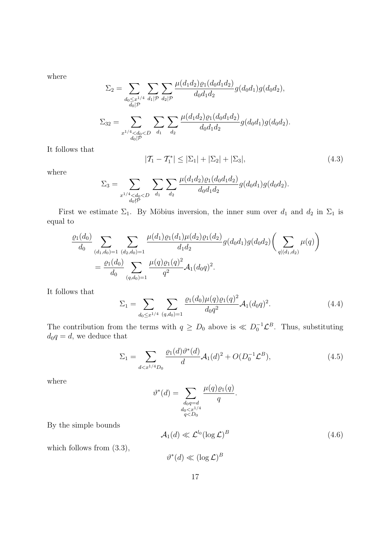where

$$
\Sigma_2 = \sum_{\substack{d_0 \leq x^{1/4} \\ d_0 | \mathcal{P}}} \sum_{d_1 | \mathcal{P}} \sum_{d_2 | \mathcal{P}} \frac{\mu(d_1 d_2) \varrho_1(d_0 d_1 d_2)}{d_0 d_1 d_2} g(d_0 d_1) g(d_0 d_2),
$$
  

$$
\Sigma_{32} = \sum_{\substack{x^{1/4} < d_0 < D}} \sum_{d_1} \sum_{d_1} \sum_{d_2} \frac{\mu(d_1 d_2) \varrho_1(d_0 d_1 d_2)}{d_0 d_1 d_2} g(d_0 d_1) g(d_0 d_2).
$$

It follows that

$$
|T_1 - T_1^*| \le |\Sigma_1| + |\Sigma_2| + |\Sigma_3|,\tag{4.3}
$$

where

$$
\Sigma_3 = \sum_{\substack{x^{1/4} < d_0 < D \\ d_0 \nmid P}} \sum_{d_1} \sum_{d_2} \frac{\mu(d_1 d_2) \varrho_1(d_0 d_1 d_2)}{d_0 d_1 d_2} g(d_0 d_1) g(d_0 d_2).
$$

First we estimate  $\Sigma_1$ . By Möbius inversion, the inner sum over  $d_1$  and  $d_2$  in  $\Sigma_1$  is equal to

$$
\frac{\varrho_1(d_0)}{d_0} \sum_{(d_1,d_0)=1} \sum_{(d_2,d_0)=1} \frac{\mu(d_1)\varrho_1(d_1)\mu(d_2)\varrho_1(d_2)}{d_1d_2} g(d_0d_1)g(d_0d_2) \left(\sum_{q|(d_1,d_2)} \mu(q)\right)
$$
  
= 
$$
\frac{\varrho_1(d_0)}{d_0} \sum_{(q,d_0)=1} \frac{\mu(q)\varrho_1(q)^2}{q^2} \mathcal{A}_1(d_0q)^2.
$$

It follows that

$$
\Sigma_1 = \sum_{d_0 \leq x^{1/4}} \sum_{(q, d_0) = 1} \frac{\varrho_1(d_0) \mu(q) \varrho_1(q)^2}{d_0 q^2} \mathcal{A}_1(d_0 q)^2.
$$
 (4.4)

The contribution from the terms with  $q \geq D_0$  above is  $\ll D_0^{-1} \mathcal{L}^B$ . Thus, substituting  $d_0q=d,$  we deduce that

$$
\Sigma_1 = \sum_{d < x^{1/4}D_0} \frac{\varrho_1(d)\vartheta^*(d)}{d} \mathcal{A}_1(d)^2 + O(D_0^{-1}\mathcal{L}^B),\tag{4.5}
$$

.

where

$$
\vartheta^*(d) = \sum_{\substack{d_0q = d \\ d_0 < x^{1/4} \\ q < D_0}} \frac{\mu(q)\varrho_1(q)}{q}
$$

By the simple bounds

$$
\mathcal{A}_1(d) \ll \mathcal{L}^{l_0}(\log \mathcal{L})^B \tag{4.6}
$$

which follows from  $(3.3)$ ,

 $\vartheta^*(d) \ll (\log \mathcal{L})^B$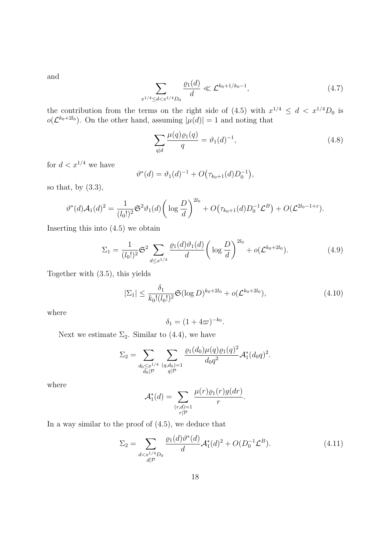and

$$
\sum_{x^{1/4} \le d < x^{1/4}D_0} \frac{\varrho_1(d)}{d} \ll \mathcal{L}^{k_0 + 1/k_0 - 1},\tag{4.7}
$$

the contribution from the terms on the right side of (4.5) with  $x^{1/4} \leq d < x^{1/4}D_0$  is  $o(\mathcal{L}^{k_0+2l_0})$ . On the other hand, assuming  $|\mu(d)|=1$  and noting that

$$
\sum_{q|d} \frac{\mu(q)\varrho_1(q)}{q} = \vartheta_1(d)^{-1},\tag{4.8}
$$

for  $d < x^{1/4}$  we have

$$
\vartheta^*(d) = \vartheta_1(d)^{-1} + O(\tau_{k_0+1}(d)D_0^{-1}),
$$

so that, by  $(3.3)$ ,

$$
\vartheta^*(d) \mathcal{A}_1(d)^2 = \frac{1}{(l_0!)^2} \mathfrak{S}^2 \vartheta_1(d) \bigg( \log \frac{D}{d} \bigg)^{2l_0} + O(\tau_{k_0+1}(d) D_0^{-1} \mathcal{L}^B) + O(\mathcal{L}^{2l_0-1+\varepsilon}).
$$

Inserting this into (4.5) we obtain

$$
\Sigma_1 = \frac{1}{(l_0!)^2} \mathfrak{S}^2 \sum_{d \le x^{1/4}} \frac{\varrho_1(d)\vartheta_1(d)}{d} \left( \log \frac{D}{d} \right)^{2l_0} + o(\mathcal{L}^{k_0 + 2l_0}). \tag{4.9}
$$

Together with (3.5), this yields

$$
|\Sigma_1| \le \frac{\delta_1}{k_0!(l_0!)^2} \mathfrak{S}(\log D)^{k_0+2l_0} + o(\mathcal{L}^{k_0+2l_0}),\tag{4.10}
$$

where

$$
\delta_1 = (1 + 4\varpi)^{-k_0}.
$$

Next we estimate  $\Sigma_2$ . Similar to (4.4), we have

$$
\Sigma_2 = \sum_{\substack{d_0 \leq x^{1/4} \\ d_0 \mid \mathcal{P}}} \sum_{\substack{(q, d_0) = 1 \\ q \mid \mathcal{P}}} \frac{\varrho_1(d_0) \mu(q) \varrho_1(q)^2}{d_0 q^2} \mathcal{A}_1^*(d_0 q)^2.
$$

where

$$
\mathcal{A}_1^*(d) = \sum_{\substack{(r,d)=1\\r|\mathcal{P}}} \frac{\mu(r)\varrho_1(r)g(dr)}{r}.
$$

In a way similar to the proof of (4.5), we deduce that

$$
\Sigma_2 = \sum_{\substack{d < x^{1/4}D_0 \\ d|\mathcal{P}}} \frac{\varrho_1(d)\vartheta^*(d)}{d} \mathcal{A}_1^*(d)^2 + O(D_0^{-1}\mathcal{L}^B). \tag{4.11}
$$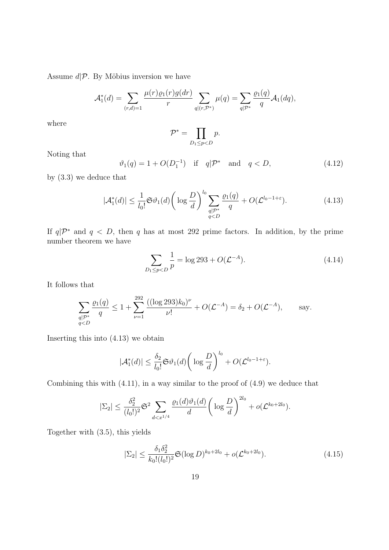Assume  $d\mathcal{P}$ . By Möbius inversion we have

$$
\mathcal{A}_1^*(d) = \sum_{(r,d)=1} \frac{\mu(r)\varrho_1(r)g(dr)}{r} \sum_{q|(r,\mathcal{P}^*)} \mu(q) = \sum_{q|\mathcal{P}^*} \frac{\varrho_1(q)}{q} \mathcal{A}_1(dq),
$$

where

$$
\mathcal{P}^* = \prod_{D_1 \le p < D} p.
$$

Noting that

$$
\vartheta_1(q) = 1 + O(D_1^{-1})
$$
 if  $q | \mathcal{P}^*$  and  $q < D,$  (4.12)

by (3.3) we deduce that

$$
|\mathcal{A}_1^*(d)| \le \frac{1}{l_0!} \mathfrak{S} \vartheta_1(d) \bigg( \log \frac{D}{d} \bigg)^{l_0} \sum_{\substack{q \mid \mathcal{P}^* \\ q < D}} \frac{\varrho_1(q)}{q} + O(\mathcal{L}^{l_0 - 1 + \varepsilon}).\tag{4.13}
$$

If  $q\mathcal{P}^*$  and  $q < D$ , then q has at most 292 prime factors. In addition, by the prime number theorem we have

$$
\sum_{D_1 \le p < D} \frac{1}{p} = \log 293 + O(\mathcal{L}^{-A}).\tag{4.14}
$$

It follows that

$$
\sum_{\substack{q|\mathcal{P}^*\\q
$$

Inserting this into (4.13) we obtain

$$
|\mathcal{A}_{1}^{*}(d)| \leq \frac{\delta_{2}}{l_{0}!} \mathfrak{S} \vartheta_{1}(d) \bigg(\log \frac{D}{d}\bigg)^{l_{0}} + O(\mathcal{L}^{l_{0}-1+\varepsilon}).
$$

Combining this with (4.11), in a way similar to the proof of (4.9) we deduce that

$$
|\Sigma_2| \leq \frac{\delta_2^2}{(l_0!)^2} \mathfrak{S}^2 \sum_{d < x^{1/4}} \frac{\varrho_1(d)\vartheta_1(d)}{d} \bigg(\log \frac{D}{d}\bigg)^{2l_0} + o(\mathcal{L}^{k_0+2l_0}).
$$

Together with (3.5), this yields

$$
|\Sigma_2| \le \frac{\delta_1 \delta_2^2}{k_0! (l_0!)^2} \mathfrak{S}(\log D)^{k_0+2l_0} + o(\mathcal{L}^{k_0+2l_0}). \tag{4.15}
$$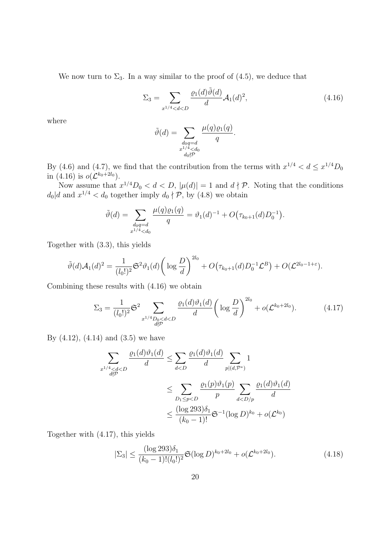We now turn to  $\Sigma_3$ . In a way similar to the proof of (4.5), we deduce that

$$
\Sigma_3 = \sum_{x^{1/4} < d < D} \frac{\varrho_1(d)\tilde{\vartheta}(d)}{d} \mathcal{A}_1(d)^2,\tag{4.16}
$$

.

where

$$
\tilde{\vartheta}(d) = \sum_{\substack{d_0q = d \\ x^{1/4} < d_0 \\ d_0 \nmid \mathcal{P}}} \frac{\mu(q)\varrho_1(q)}{q}
$$

By (4.6) and (4.7), we find that the contribution from the terms with  $x^{1/4} < d \leq x^{1/4}D_0$ in (4.16) is  $o(\mathcal{L}^{k_0+2l_0})$ .

Now assume that  $x^{1/4}D_0 < d < D$ ,  $|\mu(d)| = 1$  and  $d \nmid \mathcal{P}$ . Noting that the conditions  $d_0|d$  and  $x^{1/4} < d_0$  together imply  $d_0 \nmid \mathcal{P}$ , by (4.8) we obtain

$$
\tilde{\vartheta}(d) = \sum_{\substack{d_0q = d \\ x^{1/4} < d_0}} \frac{\mu(q)\varrho_1(q)}{q} = \vartheta_1(d)^{-1} + O(\tau_{k_0+1}(d)D_0^{-1}).
$$

Together with (3.3), this yields

$$
\tilde{\vartheta}(d) \mathcal{A}_1(d)^2 = \frac{1}{(l_0!)^2} \mathfrak{S}^2 \vartheta_1(d) \bigg( \log \frac{D}{d} \bigg)^{2l_0} + O(\tau_{k_0+1}(d) D_0^{-1} \mathcal{L}^B) + O(\mathcal{L}^{2l_0-1+\varepsilon}).
$$

Combining these results with (4.16) we obtain

$$
\Sigma_3 = \frac{1}{(l_0!)^2} \mathfrak{S}^2 \sum_{\substack{x^{1/4}D_0 < d < D \\ d \nmid \mathcal{P}}} \frac{\varrho_1(d)\vartheta_1(d)}{d} \left( \log \frac{D}{d} \right)^{2l_0} + o(\mathcal{L}^{k_0 + 2l_0}).\tag{4.17}
$$

By  $(4.12)$ ,  $(4.14)$  and  $(3.5)$  we have

$$
\sum_{\substack{x^{1/4} < d < D \\ d \nmid p}} \frac{\varrho_1(d)\vartheta_1(d)}{d} \le \sum_{d < D} \frac{\varrho_1(d)\vartheta_1(d)}{d} \sum_{p|(d,\mathcal{P}^*)} 1
$$
\n
$$
\le \sum_{D_1 \le p < D} \frac{\varrho_1(p)\vartheta_1(p)}{p} \sum_{d < D/p} \frac{\varrho_1(d)\vartheta_1(d)}{d}
$$
\n
$$
\le \frac{(\log 293)\delta_1}{(k_0 - 1)!} \mathfrak{S}^{-1} (\log D)^{k_0} + o(\mathcal{L}^{k_0})
$$

Together with (4.17), this yields

$$
|\Sigma_3| \le \frac{(\log 293)\delta_1}{(k_0 - 1)!(l_0!)^2} \mathfrak{S}(\log D)^{k_0 + 2l_0} + o(\mathcal{L}^{k_0 + 2l_0}).\tag{4.18}
$$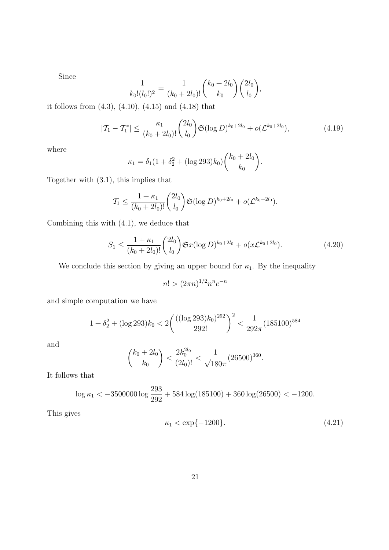Since

$$
\frac{1}{k_0!(l_0!)^2} = \frac{1}{(k_0+2l_0)!} \binom{k_0+2l_0}{k_0} \binom{2l_0}{l_0},
$$

it follows from (4.3), (4.10), (4.15) and (4.18) that

$$
|T_1 - T_1^*| \le \frac{\kappa_1}{(k_0 + 2l_0)!} {2l_0 \choose l_0} \mathfrak{S}(\log D)^{k_0 + 2l_0} + o(\mathcal{L}^{k_0 + 2l_0}), \tag{4.19}
$$

where

$$
\kappa_1 = \delta_1 (1 + \delta_2^2 + (\log 293) k_0) {k_0 + 2l_0 \choose k_0}.
$$

Together with (3.1), this implies that

$$
\mathcal{T}_1 \leq \frac{1+\kappa_1}{(k_0+2l_0)!} {2l_0 \choose l_0} \mathfrak{S}(\log D)^{k_0+2l_0} + o(\mathcal{L}^{k_0+2l_0}).
$$

Combining this with (4.1), we deduce that

$$
S_1 \le \frac{1 + \kappa_1}{(k_0 + 2l_0)!} \binom{2l_0}{l_0} \mathfrak{S}x(\log D)^{k_0 + 2l_0} + o(x \mathcal{L}^{k_0 + 2l_0}).\tag{4.20}
$$

We conclude this section by giving an upper bound for  $\kappa_1$ . By the inequality

$$
n! > (2\pi n)^{1/2} n^n e^{-n}
$$

and simple computation we have

$$
1 + \delta_2^2 + (\log 293)k_0 < 2\left(\frac{((\log 293)k_0)^{292}}{292!}\right)^2 < \frac{1}{292\pi} (185100)^{584}
$$

and

$$
\binom{k_0 + 2l_0}{k_0} < \frac{2k_0^{2l_0}}{(2l_0)!} < \frac{1}{\sqrt{180\pi}} (26500)^{360}.
$$

It follows that

$$
\log \kappa_1 < -3500000 \log \frac{293}{292} + 584 \log(185100) + 360 \log(26500) < -1200.
$$

This gives

$$
\kappa_1 < \exp\{-1200\}.\tag{4.21}
$$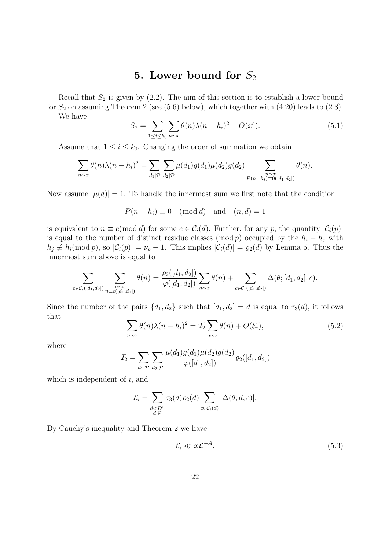#### 5. Lower bound for  $S_2$

Recall that  $S_2$  is given by  $(2.2)$ . The aim of this section is to establish a lower bound for  $S_2$  on assuming Theorem 2 (see (5.6) below), which together with (4.20) leads to (2.3).

We have

$$
S_2 = \sum_{1 \le i \le k_0} \sum_{n \sim x} \theta(n) \lambda(n - h_i)^2 + O(x^{\varepsilon}).
$$
\n(5.1)

Assume that  $1 \leq i \leq k_0$ . Changing the order of summation we obtain

$$
\sum_{n \sim x} \theta(n) \lambda(n - h_i)^2 = \sum_{d_1 | \mathcal{P}} \sum_{d_2 | \mathcal{P}} \mu(d_1) g(d_1) \mu(d_2) g(d_2) \sum_{\substack{n \sim x \\ P(n - h_i) \equiv 0([d_1, d_2])}} \theta(n).
$$

Now assume  $|\mu(d)| = 1$ . To handle the innermost sum we first note that the condition

$$
P(n - h_i) \equiv 0 \pmod{d} \text{ and } (n, d) = 1
$$

is equivalent to  $n \equiv c \pmod{d}$  for some  $c \in C_i(d)$ . Further, for any p, the quantity  $|C_i(p)|$ is equal to the number of distinct residue classes (mod p) occupied by the  $h_i - h_j$  with  $h_j \not\equiv h_i(\text{mod }p)$ , so  $|\mathcal{C}_i(p)| = \nu_p - 1$ . This implies  $|\mathcal{C}_i(d)| = \varrho_2(d)$  by Lemma 5. Thus the innermost sum above is equal to

$$
\sum_{c \in \mathcal{C}_i([d_1,d_2])} \sum_{\substack{n \sim x \\ n \equiv c([d_1,d_2])}} \theta(n) = \frac{\varrho_2([d_1,d_2])}{\varphi([d_1,d_2])} \sum_{n \sim x} \theta(n) + \sum_{c \in \mathcal{C}_i([d_1,d_2])} \Delta(\theta;[d_1,d_2],c).
$$

Since the number of the pairs  $\{d_1, d_2\}$  such that  $[d_1, d_2] = d$  is equal to  $\tau_3(d)$ , it follows that

$$
\sum_{n \sim x} \theta(n) \lambda(n - h_i)^2 = \mathcal{T}_2 \sum_{n \sim x} \theta(n) + O(\mathcal{E}_i), \tag{5.2}
$$

where

$$
\mathcal{T}_2 = \sum_{d_1|\mathcal{P}} \sum_{d_2|\mathcal{P}} \frac{\mu(d_1)g(d_1)\mu(d_2)g(d_2)}{\varphi([d_1, d_2])} \varrho_2([d_1, d_2])
$$

which is independent of  $i$ , and

$$
\mathcal{E}_i = \sum_{\substack{d < D^2 \\ d \mid \mathcal{P}}} \tau_3(d) \varrho_2(d) \sum_{c \in \mathcal{C}_i(d)} |\Delta(\theta; d, c)|.
$$

By Cauchy's inequality and Theorem 2 we have

$$
\mathcal{E}_i \ll x \mathcal{L}^{-A}.\tag{5.3}
$$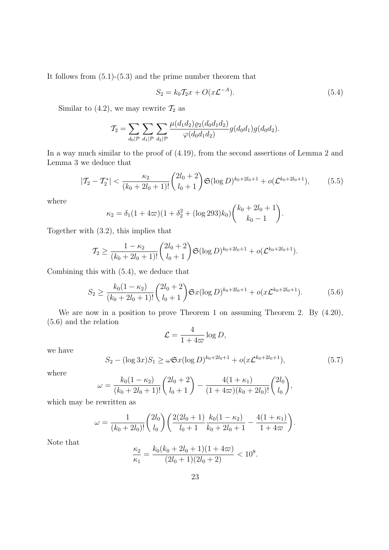It follows from (5.1)-(5.3) and the prime number theorem that

$$
S_2 = k_0 T_2 x + O(x \mathcal{L}^{-A}).
$$
\n(5.4)

Similar to (4.2), we may rewrite  $\mathcal{T}_2$  as

$$
\mathcal{T}_2 = \sum_{d_0|\mathcal{P}} \sum_{d_1|\mathcal{P}} \sum_{d_2|\mathcal{P}} \frac{\mu(d_1 d_2) \varrho_2(d_0 d_1 d_2)}{\varphi(d_0 d_1 d_2)} g(d_0 d_1) g(d_0 d_2).
$$

In a way much similar to the proof of  $(4.19)$ , from the second assertions of Lemma 2 and Lemma 3 we deduce that

$$
|T_2 - T_2^*| < \frac{\kappa_2}{(k_0 + 2l_0 + 1)!} \binom{2l_0 + 2}{l_0 + 1} \mathfrak{S}(\log D)^{k_0 + 2l_0 + 1} + o(\mathcal{L}^{k_0 + 2l_0 + 1}),\tag{5.5}
$$

where

$$
\kappa_2 = \delta_1 (1 + 4\varpi)(1 + \delta_2^2 + (\log 293)k_0) {k_0 + 2l_0 + 1 \choose k_0 - 1}.
$$

Together with (3.2), this implies that

$$
\mathcal{T}_2 \ge \frac{1 - \kappa_2}{(k_0 + 2l_0 + 1)!} {2l_0 + 2 \choose l_0 + 1} \mathfrak{S}(\log D)^{k_0 + 2l_0 + 1} + o(\mathcal{L}^{k_0 + 2l_0 + 1}).
$$

Combining this with (5.4), we deduce that

$$
S_2 \ge \frac{k_0(1 - \kappa_2)}{(k_0 + 2l_0 + 1)!} \binom{2l_0 + 2}{l_0 + 1} \mathfrak{S}x(\log D)^{k_0 + 2l_0 + 1} + o(x\mathcal{L}^{k_0 + 2l_0 + 1}).\tag{5.6}
$$

We are now in a position to prove Theorem 1 on assuming Theorem 2. By  $(4.20)$ , (5.6) and the relation

$$
\mathcal{L} = \frac{4}{1 + 4\pi} \log D,
$$

we have

$$
S_2 - (\log 3x)S_1 \ge \omega \mathfrak{S}x(\log D)^{k_0 + 2l_0 + 1} + o(x\mathcal{L}^{k_0 + 2l_0 + 1}),\tag{5.7}
$$

where

$$
\omega = \frac{k_0(1 - \kappa_2)}{(k_0 + 2l_0 + 1)!} \binom{2l_0 + 2}{l_0 + 1} - \frac{4(1 + \kappa_1)}{(1 + 4\varpi)(k_0 + 2l_0)!} \binom{2l_0}{l_0},
$$

which may be rewritten as

$$
\omega = \frac{1}{(k_0 + 2l_0)!} \binom{2l_0}{l_0} \left( \frac{2(2l_0 + 1)}{l_0 + 1} \frac{k_0(1 - \kappa_2)}{k_0 + 2l_0 + 1} - \frac{4(1 + \kappa_1)}{1 + 4\omega} \right).
$$

Note that

$$
\frac{\kappa_2}{\kappa_1} = \frac{k_0(k_0 + 2l_0 + 1)(1 + 4\varpi)}{(2l_0 + 1)(2l_0 + 2)} < 10^8.
$$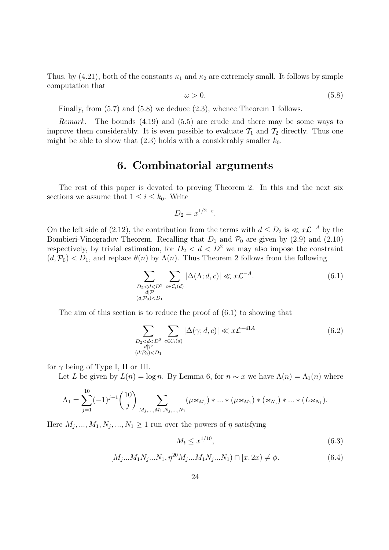Thus, by (4.21), both of the constants  $\kappa_1$  and  $\kappa_2$  are extremely small. It follows by simple computation that

$$
\omega > 0. \tag{5.8}
$$

Finally, from (5.7) and (5.8) we deduce (2.3), whence Theorem 1 follows.

Remark. The bounds (4.19) and (5.5) are crude and there may be some ways to improve them considerably. It is even possible to evaluate  $\mathcal{T}_1$  and  $\mathcal{T}_2$  directly. Thus one might be able to show that  $(2.3)$  holds with a considerably smaller  $k_0$ .

#### 6. Combinatorial arguments

The rest of this paper is devoted to proving Theorem 2. In this and the next six sections we assume that  $1 \leq i \leq k_0$ . Write

$$
D_2 = x^{1/2 - \varepsilon}.
$$

On the left side of (2.12), the contribution from the terms with  $d \leq D_2$  is  $\ll x\mathcal{L}^{-A}$  by the Bombieri-Vinogradov Theorem. Recalling that  $D_1$  and  $\mathcal{P}_0$  are given by (2.9) and (2.10) respectively, by trivial estimation, for  $D_2 < d < D^2$  we may also impose the constraint  $(d, \mathcal{P}_0) < D_1$ , and replace  $\theta(n)$  by  $\Lambda(n)$ . Thus Theorem 2 follows from the following

$$
\sum_{\substack{D_2 < d < D^2 \\ d|P \\ (d, \mathcal{P}_0) < D_1}} \sum_{c \in \mathcal{C}_i(d)} |\Delta(\Lambda; d, c)| \ll x \mathcal{L}^{-A}.\tag{6.1}
$$

The aim of this section is to reduce the proof of (6.1) to showing that

$$
\sum_{\substack{D_2 < d < D^2 \\ d|\mathcal{P} \\ (d,\mathcal{P}_0) < D_1}} \sum_{c \in \mathcal{C}_i(d)} |\Delta(\gamma; d, c)| \ll x \mathcal{L}^{-41A} \tag{6.2}
$$

for  $\gamma$  being of Type I, II or III.

Let L be given by  $L(n) = \log n$ . By Lemma 6, for  $n \sim x$  we have  $\Lambda(n) = \Lambda_1(n)$  where

$$
\Lambda_1 = \sum_{j=1}^{10} (-1)^{j-1} {10 \choose j} \sum_{M_j,...,M_1,N_j,...,N_1} (\mu \varkappa_{M_j}) * ... * (\mu \varkappa_{M_1}) * (\varkappa_{N_j}) * ... * (L \varkappa_{N_1}).
$$

Here  $M_j, ..., M_1, N_j, ..., N_1 \geq 1$  run over the powers of  $\eta$  satisfying

$$
M_t \le x^{1/10},\tag{6.3}
$$

$$
[M_j...M_1N_j...N_1, \eta^{20}M_j...M_1N_j...N_1] \cap [x, 2x) \neq \phi.
$$
 (6.4)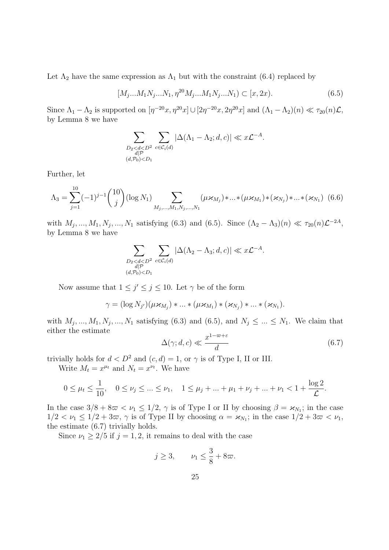Let  $\Lambda_2$  have the same expression as  $\Lambda_1$  but with the constraint (6.4) replaced by

$$
[M_j...M_1N_j...N_1, \eta^{20}M_j...M_1N_j...N_1] \subset [x, 2x). \tag{6.5}
$$

Since  $\Lambda_1 - \Lambda_2$  is supported on  $[\eta^{-20}x, \eta^{20}x] \cup [2\eta^{-20}x, 2\eta^{20}x]$  and  $(\Lambda_1 - \Lambda_2)(n) \ll \tau_{20}(n)\mathcal{L}$ , by Lemma 8 we have

$$
\sum_{\substack{D_2 < d < D^2 \\ d \mid \mathcal{P} \\ (d, \mathcal{P}_0) < D_1}} \sum_{c \in \mathcal{C}_i(d)} |\Delta(\Lambda_1 - \Lambda_2; d, c)| \ll x \mathcal{L}^{-A}.
$$

Further, let

$$
\Lambda_3 = \sum_{j=1}^{10} (-1)^{j-1} {10 \choose j} (\log N_1) \sum_{M_j, \dots, M_1, N_j, \dots, N_1} (\mu \varkappa_{M_j}) * ... * (\mu \varkappa_{M_1}) * (\varkappa_{N_j}) * ... * (\varkappa_{N_1})
$$
(6.6)

with  $M_j, ..., M_1, N_j, ..., N_1$  satisfying (6.3) and (6.5). Since  $(\Lambda_2 - \Lambda_3)(n) \ll \tau_{20}(n)\mathcal{L}^{-2A}$ , by Lemma 8 we have

$$
\sum_{\substack{D_2 < d < D^2 \\ d|\mathcal{P} \\ (d,\mathcal{P}_0) < D_1}} \sum_{c \in \mathcal{C}_i(d)} |\Delta(\Lambda_2 - \Lambda_3; d, c)| \ll x \mathcal{L}^{-A}.
$$

Now assume that  $1 \leq j' \leq j \leq 10$ . Let  $\gamma$  be of the form

$$
\gamma = (\log N_{j'})(\mu \varkappa_{M_j}) * ... * (\mu \varkappa_{M_1}) * (\varkappa_{N_j}) * ... * (\varkappa_{N_1}).
$$

with  $M_j, ..., M_1, N_j, ..., N_1$  satisfying (6.3) and (6.5), and  $N_j \leq ... \leq N_1$ . We claim that either the estimate

$$
\Delta(\gamma; d, c) \ll \frac{x^{1-\varpi+\varepsilon}}{d} \tag{6.7}
$$

trivially holds for  $d < D^2$  and  $(c, d) = 1$ , or  $\gamma$  is of Type I, II or III.

Write  $M_t = x^{\mu_t}$  and  $N_t = x^{\nu_t}$ . We have

$$
0 \le \mu_t \le \frac{1}{10}, \quad 0 \le \nu_j \le \dots \le \nu_1, \quad 1 \le \mu_j + \dots + \mu_1 + \nu_j + \dots + \nu_1 < 1 + \frac{\log 2}{\mathcal{L}}.
$$

In the case  $3/8 + 8\pi < \nu_1 \leq 1/2$ ,  $\gamma$  is of Type I or II by choosing  $\beta = \varkappa_{N_1}$ ; in the case  $1/2 < \nu_1 \leq 1/2 + 3\omega$ ,  $\gamma$  is of Type II by choosing  $\alpha = \varkappa_{N_1}$ ; in the case  $1/2 + 3\omega < \nu_1$ , the estimate (6.7) trivially holds.

Since  $\nu_1 \geq 2/5$  if  $j = 1, 2$ , it remains to deal with the case

$$
j \ge 3, \qquad \nu_1 \le \frac{3}{8} + 8\varpi.
$$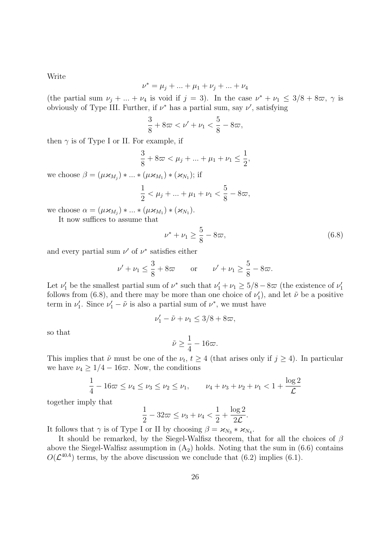Write

$$
\nu^* = \mu_j + \dots + \mu_1 + \nu_j + \dots + \nu_4
$$

(the partial sum  $\nu_j + ... + \nu_4$  is void if  $j = 3$ ). In the case  $\nu^* + \nu_1 \leq 3/8 + 8\pi$ ,  $\gamma$  is obviously of Type III. Further, if  $\nu^*$  has a partial sum, say  $\nu'$ , satisfying

$$
\frac{3}{8} + 8\varpi < \nu' + \nu_1 < \frac{5}{8} - 8\varpi,
$$

then  $\gamma$  is of Type I or II. For example, if

$$
\frac{3}{8} + 8\varpi < \mu_j + \ldots + \mu_1 + \nu_1 \le \frac{1}{2},
$$

we choose  $\beta = (\mu \varkappa_{M_j}) * ... * (\mu \varkappa_{M_1}) * (\varkappa_{N_1});$  if

$$
\frac{1}{2} < \mu_j + \ldots + \mu_1 + \nu_1 < \frac{5}{8} - 8\varpi,
$$

we choose  $\alpha = (\mu \varkappa_{M_j}) * ... * (\mu \varkappa_{M_1}) * (\varkappa_{N_1}).$ 

It now suffices to assume that

$$
\nu^* + \nu_1 \ge \frac{5}{8} - 8\varpi,\tag{6.8}
$$

and every partial sum  $\nu'$  of  $\nu^*$  satisfies either

$$
\nu' + \nu_1 \le \frac{3}{8} + 8\varpi \qquad \text{or} \qquad \nu' + \nu_1 \ge \frac{5}{8} - 8\varpi.
$$

Let  $\nu'_1$  be the smallest partial sum of  $\nu^*$  such that  $\nu'_1 + \nu_1 \geq 5/8 - 8\varpi$  (the existence of  $\nu'_1$ follows from (6.8), and there may be more than one choice of  $\nu'_1$ , and let  $\tilde{\nu}$  be a positive term in  $\nu'_1$ . Since  $\nu'_1 - \tilde{\nu}$  is also a partial sum of  $\nu^*$ , we must have

$$
\nu'_1 - \tilde{\nu} + \nu_1 \le 3/8 + 8\varpi,
$$

so that

$$
\tilde{\nu} \ge \frac{1}{4} - 16\varpi.
$$

This implies that  $\tilde{\nu}$  must be one of the  $\nu_t$ ,  $t \geq 4$  (that arises only if  $j \geq 4$ ). In particular we have  $\nu_4 \geq 1/4 - 16\pi$ . Now, the conditions

$$
\frac{1}{4} - 16\varpi \le \nu_4 \le \nu_3 \le \nu_2 \le \nu_1, \qquad \nu_4 + \nu_3 + \nu_2 + \nu_1 < 1 + \frac{\log 2}{\mathcal{L}}
$$

together imply that

$$
\frac{1}{2} - 32\pi \le \nu_3 + \nu_4 < \frac{1}{2} + \frac{\log 2}{2\mathcal{L}}.
$$

It follows that  $\gamma$  is of Type I or II by choosing  $\beta = \varkappa_{N_3} * \varkappa_{N_4}$ .

It should be remarked, by the Siegel-Walfisz theorem, that for all the choices of  $\beta$ above the Siegel-Walfisz assumption in  $(A_2)$  holds. Noting that the sum in  $(6.6)$  contains  $O(\mathcal{L}^{40A})$  terms, by the above discussion we conclude that (6.2) implies (6.1).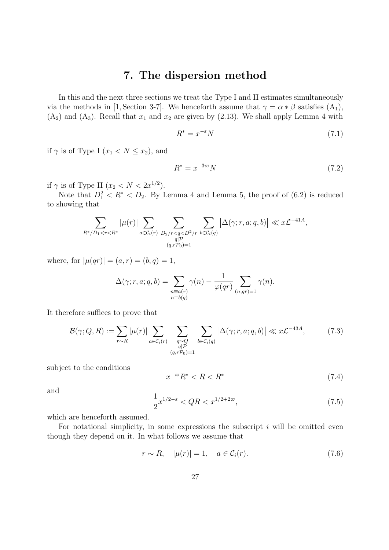#### 7. The dispersion method

In this and the next three sections we treat the Type I and II estimates simultaneously via the methods in [1, Section 3-7]. We henceforth assume that  $\gamma = \alpha * \beta$  satisfies  $(A_1)$ ,  $(A_2)$  and  $(A_3)$ . Recall that  $x_1$  and  $x_2$  are given by  $(2.13)$ . We shall apply Lemma 4 with

$$
R^* = x^{-\varepsilon} N \tag{7.1}
$$

if  $\gamma$  is of Type I  $(x_1 < N \leq x_2)$ , and

$$
R^* = x^{-3\varpi} N \tag{7.2}
$$

if  $\gamma$  is of Type II  $(x_2 < N < 2x^{1/2})$ .

Note that  $D_1^2 < R^* < D_2$ . By Lemma 4 and Lemma 5, the proof of (6.2) is reduced to showing that

$$
\sum_{R^*/D_1 < r < R^*} |\mu(r)| \sum_{a \in C_i(r)} \sum_{\substack{D_2/r < q < D^2/r \\ q|\mathcal{P} \\ (q, r\mathcal{P}_0) = 1}} \sum_{b \in C_i(q)} \left| \Delta(\gamma; r, a; q, b) \right| \ll x \mathcal{L}^{-41A},
$$

where, for  $|\mu(qr)| = (a, r) = (b, q) = 1$ ,

$$
\Delta(\gamma;r,a;q,b) = \sum_{\substack{n \equiv a(r) \\ n \equiv b(q)}} \gamma(n) - \frac{1}{\varphi(qr)} \sum_{(n,qr)=1} \gamma(n).
$$

It therefore suffices to prove that

$$
\mathcal{B}(\gamma; Q, R) := \sum_{r \sim R} |\mu(r)| \sum_{a \in \mathcal{C}_i(r)} \sum_{\substack{q \sim Q \\ q|P \\ (q, r \mathcal{P}_0) = 1}} \sum_{b \in \mathcal{C}_i(q)} \left| \Delta(\gamma; r, a; q, b) \right| \ll x \mathcal{L}^{-43A}, \tag{7.3}
$$

subject to the conditions

$$
x^{-\varpi}R^* < R < R^* \tag{7.4}
$$

and

$$
\frac{1}{2}x^{1/2-\varepsilon} < QR < x^{1/2+2\varpi},\tag{7.5}
$$

which are henceforth assumed.

For notational simplicity, in some expressions the subscript  $i$  will be omitted even though they depend on it. In what follows we assume that

$$
r \sim R, \quad |\mu(r)| = 1, \quad a \in \mathcal{C}_i(r). \tag{7.6}
$$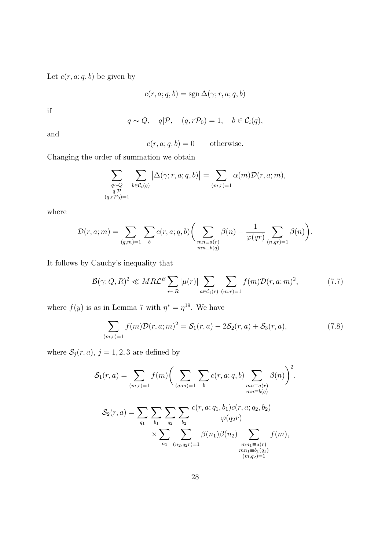Let  $c(r, a; q, b)$  be given by

$$
c(r, a; q, b) = \operatorname{sgn} \Delta(\gamma; r, a; q, b)
$$

if

$$
q \sim Q
$$
,  $q|\mathcal{P}$ ,  $(q, r\mathcal{P}_0) = 1$ ,  $b \in C_i(q)$ ,

and

 $c(r, a; q, b) = 0$  otherwise.

Changing the order of summation we obtain

$$
\sum_{\substack{q \sim Q \\ q \mid \mathcal{P} \\ (q,r\mathcal{P}_0)=1}} \sum_{b \in \mathcal{C}_i(q)} \left| \Delta(\gamma;r,a;q,b) \right| = \sum_{(m,r)=1} \alpha(m) \mathcal{D}(r,a;m),
$$

where

$$
\mathcal{D}(r, a; m) = \sum_{(q,m)=1} \sum_{b} c(r, a; q, b) \left( \sum_{\substack{mn \equiv a(r) \\ mn \equiv b(q)}} \beta(n) - \frac{1}{\varphi(qr)} \sum_{(n,qr)=1} \beta(n) \right).
$$

It follows by Cauchy's inequality that

$$
\mathcal{B}(\gamma; Q, R)^2 \ll MR\mathcal{L}^B \sum_{r \sim R} |\mu(r)| \sum_{a \in \mathcal{C}_i(r)} \sum_{(m,r)=1} f(m) \mathcal{D}(r, a; m)^2, \tag{7.7}
$$

where  $f(y)$  is as in Lemma 7 with  $\eta^* = \eta^{19}$ . We have

$$
\sum_{(m,r)=1} f(m)\mathcal{D}(r,a;m)^2 = \mathcal{S}_1(r,a) - 2\mathcal{S}_2(r,a) + \mathcal{S}_3(r,a),\tag{7.8}
$$

where  $S_j(r, a)$ ,  $j = 1, 2, 3$  are defined by

$$
S_1(r, a) = \sum_{(m,r)=1} f(m) \left( \sum_{(q,m)=1} \sum_b c(r, a; q, b) \sum_{\substack{mn \equiv a(r) \\ mn \equiv b(q)}} \beta(n) \right)^2,
$$
  

$$
S_2(r, a) = \sum_{q_1} \sum_{b_1} \sum_{q_2} \sum_{b_2} \frac{c(r, a; q_1, b_1) c(r, a; q_2, b_2)}{\varphi(q_2 r)}
$$
  

$$
\times \sum_{n_1} \sum_{(n_2, q_2 r) = 1} \beta(n_1) \beta(n_2) \sum_{\substack{mn_1 \equiv a(r) \\ mn_1 \equiv b_1(q_1) \\ (m, q_2) = 1}} f(m),
$$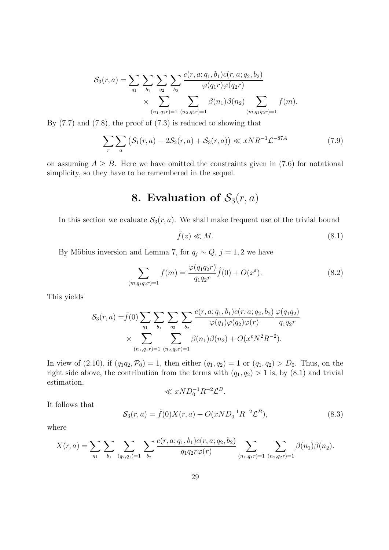$$
S_3(r, a) = \sum_{q_1} \sum_{b_1} \sum_{q_2} \sum_{b_2} \frac{c(r, a; q_1, b_1)c(r, a; q_2, b_2)}{\varphi(q_1 r)\varphi(q_2 r)} \times \sum_{(n_1, q_1 r) = 1} \sum_{(n_2, q_2 r) = 1} \beta(n_1) \beta(n_2) \sum_{(m, q_1 q_2 r) = 1} f(m).
$$

By  $(7.7)$  and  $(7.8)$ , the proof of  $(7.3)$  is reduced to showing that

$$
\sum_{r} \sum_{a} \left( \mathcal{S}_1(r, a) - 2\mathcal{S}_2(r, a) + \mathcal{S}_3(r, a) \right) \ll xNR^{-1}\mathcal{L}^{-87A} \tag{7.9}
$$

on assuming  $A \geq B$ . Here we have omitted the constraints given in (7.6) for notational simplicity, so they have to be remembered in the sequel.

## 8. Evaluation of  $S_3(r, a)$

In this section we evaluate  $S_3(r, a)$ . We shall make frequent use of the trivial bound

$$
\hat{f}(z) \ll M. \tag{8.1}
$$

By Möbius inversion and Lemma 7, for  $q_j \sim Q$ ,  $j = 1, 2$  we have

$$
\sum_{(m,q_1q_2r)=1} f(m) = \frac{\varphi(q_1q_2r)}{q_1q_2r} \hat{f}(0) + O(x^{\varepsilon}).
$$
\n(8.2)

This yields

$$
S_3(r,a) = \hat{f}(0) \sum_{q_1} \sum_{b_1} \sum_{q_2} \sum_{b_2} \frac{c(r,a;q_1,b_1)c(r,a;q_2,b_2)}{\varphi(q_1)\varphi(q_2)\varphi(r)} \frac{\varphi(q_1q_2)}{q_1q_2r} \times \sum_{(n_1,q_1r)=1} \sum_{(n_2,q_2r)=1} \frac{c(r,a;q_1,b_1)c(r,a;q_2,b_2)}{\varphi(q_1)\varphi(q_2)\varphi(r)} \frac{\varphi(q_1q_2)}{q_1q_2r}
$$

In view of (2.10), if  $(q_1q_2,\mathcal{P}_0) = 1$ , then either  $(q_1, q_2) = 1$  or  $(q_1, q_2) > D_0$ . Thus, on the right side above, the contribution from the terms with  $(q_1, q_2) > 1$  is, by  $(8.1)$  and trivial estimation,

$$
\ll xND_0^{-1}R^{-2}\mathcal{L}^B.
$$

It follows that

$$
S_3(r,a) = \hat{f}(0)X(r,a) + O(xND_0^{-1}R^{-2}\mathcal{L}^B),
$$
\n(8.3)

where

$$
X(r,a) = \sum_{q_1} \sum_{b_1} \sum_{(q_2,q_1)=1} \sum_{b_2} \frac{c(r,a;q_1,b_1)c(r,a;q_2,b_2)}{q_1q_2r\varphi(r)} \sum_{(n_1,q_1r)=1} \sum_{(n_2,q_2r)=1} \beta(n_1)\beta(n_2).
$$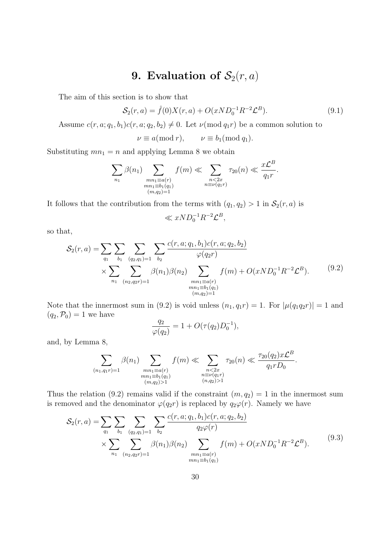### 9. Evaluation of  $S_2(r, a)$

The aim of this section is to show that

$$
S_2(r, a) = \hat{f}(0)X(r, a) + O(xND_0^{-1}R^{-2}\mathcal{L}^B).
$$
\n(9.1)

Assume  $c(r, a; q_1, b_1)c(r, a; q_2, b_2) \neq 0$ . Let  $\nu \pmod{q_1r}$  be a common solution to

$$
\nu \equiv a(\bmod r), \qquad \nu \equiv b_1(\bmod q_1).
$$

Substituting  $mn_1 = n$  and applying Lemma 8 we obtain

$$
\sum_{n_1} \beta(n_1) \sum_{\substack{mn_1 \equiv a(r) \\ mn_1 \equiv b_1(q_1) \\ (m,q_2)=1}} f(m) \ll \sum_{\substack{n < 2x \\ n \equiv \nu(q_1r)}} \tau_{20}(n) \ll \frac{x\mathcal{L}^B}{q_1r}.
$$

It follows that the contribution from the terms with  $(q_1, q_2) > 1$  in  $\mathcal{S}_2(r, a)$  is

$$
\ll xND_0^{-1}R^{-2}\mathcal{L}^B,
$$

so that,

$$
S_2(r, a) = \sum_{q_1} \sum_{b_1} \sum_{(q_2, q_1) = 1} \sum_{b_2} \frac{c(r, a; q_1, b_1) c(r, a; q_2, b_2)}{\varphi(q_2 r)}
$$
  
 
$$
\times \sum_{n_1} \sum_{(n_2, q_2 r) = 1} \beta(n_1) \beta(n_2) \sum_{\substack{mn_1 \equiv a(r) \\ mn_1 \equiv b_1(q_1) \\ (m, q_2) = 1}} f(m) + O(x N D_0^{-1} R^{-2} \mathcal{L}^B).
$$
 (9.2)

Note that the innermost sum in (9.2) is void unless  $(n_1, q_1r) = 1$ . For  $|\mu(q_1q_2r)| = 1$  and  $(q_2,\mathcal{P}_0)=1$  we have

$$
\frac{q_2}{\varphi(q_2)} = 1 + O(\tau(q_2)D_0^{-1}),
$$

and, by Lemma 8,

$$
\sum_{\substack{(n_1, q_1r)=1 \ n_1 \equiv b_1(q_1) \ (m,q_2)>1}} \beta(n_1) \ll \sum_{\substack{n < 2x \ n \equiv b_1(q_1) \ (m,q_2)>1}} \tau_{20}(n) \ll \frac{\tau_{20}(q_2)x\mathcal{L}^B}{q_1rD_0}.
$$

Thus the relation (9.2) remains valid if the constraint  $(m, q_2) = 1$  in the innermost sum is removed and the denominator  $\varphi(q_2r)$  is replaced by  $q_2\varphi(r)$ . Namely we have

$$
S_2(r, a) = \sum_{q_1} \sum_{b_1} \sum_{(q_2, q_1) = 1} \sum_{b_2} \frac{c(r, a; q_1, b_1) c(r, a; q_2, b_2)}{q_2 \varphi(r)} \times \sum_{n_1} \sum_{(n_2, q_2, p_1) = 1} \frac{\beta(n_1) \beta(n_2)}{p_1} \sum_{\substack{mn_1 \equiv a(r) \\ mn_1 \equiv b_1(q_1)}} f(m) + O(x N D_0^{-1} R^{-2} \mathcal{L}^B).
$$
\n(9.3)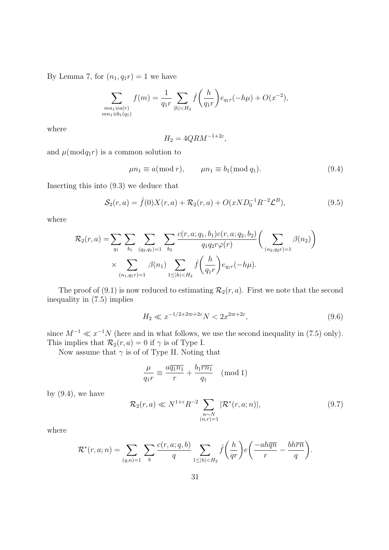By Lemma 7, for  $(n_1, q_1r) = 1$  we have

$$
\sum_{\substack{mn_1 \equiv a(r) \\ mn_1 \equiv b_1(q_1)}} f(m) = \frac{1}{q_1 r} \sum_{|h| < H_2} \hat{f}\left(\frac{h}{q_1 r}\right) e_{q_1 r}(-h\mu) + O(x^{-2}),
$$

where

$$
H_2 = 4QRM^{-1+2\varepsilon},
$$

and  $\mu \text{ (mod} q_1 r)$  is a common solution to

$$
\mu n_1 \equiv a(\text{mod } r), \qquad \mu n_1 \equiv b_1(\text{mod } q_1). \tag{9.4}
$$

Inserting this into (9.3) we deduce that

$$
S_2(r,a) = \hat{f}(0)X(r,a) + \mathcal{R}_2(r,a) + O(xND_0^{-1}R^{-2}\mathcal{L}^B),
$$
\n(9.5)

where

$$
\mathcal{R}_2(r, a) = \sum_{q_1} \sum_{b_1} \sum_{(q_2, q_1) = 1} \sum_{b_2} \frac{c(r, a; q_1, b_1) c(r, a; q_2, b_2)}{q_1 q_2 r \varphi(r)} \left( \sum_{(n_2, q_2, p_1) = 1} \beta(n_2) \right)
$$

$$
\times \sum_{(n_1, q_1, p_1) = 1} \beta(n_1) \sum_{1 \le |h| < H_2} \hat{f}\left(\frac{h}{q_1 r}\right) e_{q_1 r}(-h\mu).
$$

The proof of (9.1) is now reduced to estimating  $\mathcal{R}_2(r, a)$ . First we note that the second inequality in (7.5) implies

$$
H_2 \ll x^{-1/2 + 2\varpi + 2\varepsilon} N < 2x^{2\varpi + 2\varepsilon},\tag{9.6}
$$

since  $M^{-1} \ll x^{-1}N$  (here and in what follows, we use the second inequality in (7.5) only). This implies that  $\mathcal{R}_2(r, a) = 0$  if  $\gamma$  is of Type I.

Now assume that  $\gamma$  is of of Type II. Noting that

$$
\frac{\mu}{q_1 r} \equiv \frac{a \overline{q_1 n_1}}{r} + \frac{b_1 \overline{r n_1}}{q_1} \pmod{1}
$$

by  $(9.4)$ , we have

$$
\mathcal{R}_2(r,a) \ll N^{1+\varepsilon} R^{-2} \sum_{\substack{n \sim N \\ (n,r)=1}} |\mathcal{R}^*(r,a;n)|, \tag{9.7}
$$

where

$$
\mathcal{R}^*(r, a; n) = \sum_{(q,n)=1} \sum_b \frac{c(r, a; q, b)}{q} \sum_{1 \le |h| < H_2} \hat{f}\left(\frac{h}{qr}\right) e\left(\frac{-ah\overline{qn}}{r} - \frac{bh\overline{rn}}{q}\right).
$$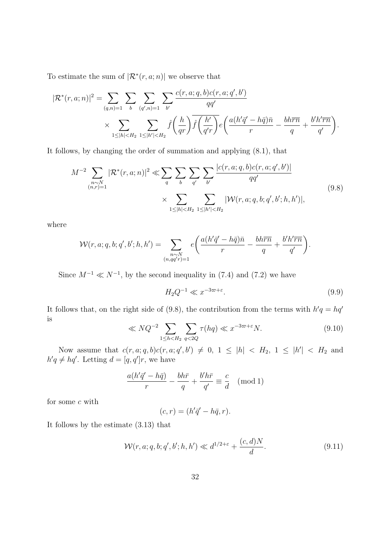To estimate the sum of  $\left| \mathcal{R}^*(r, a; n) \right|$  we observe that

$$
|\mathcal{R}^*(r, a; n)|^2 = \sum_{(q,n)=1} \sum_{b} \sum_{(q',n)=1} \sum_{b'} \frac{c(r, a; q, b)c(r, a; q', b')}{qq'} \times \sum_{1 \le |h| < H_2} \sum_{1 \le |h'| < H_2} \hat{f}\left(\frac{h}{qr}\right) \hat{f}\left(\frac{h'}{q'r}\right) e\left(\frac{a(h'q' - h\bar{q})\bar{n}}{r} - \frac{bh\bar{r}\bar{n}}{q} + \frac{b'h'\bar{r}\bar{n}}{q'}\right).
$$

It follows, by changing the order of summation and applying (8.1), that

$$
M^{-2} \sum_{\substack{n \sim N \\ (n,r)=1}} |\mathcal{R}^*(r, a; n)|^2 \ll \sum_q \sum_b \sum_{q'} \sum_{b'} \frac{|c(r, a; q, b)c(r, a; q', b')|}{qq'} \ll \sum_{1 \le |h| < H_2} \sum_{1 \le |h'| < H_2} |\mathcal{W}(r, a; q, b; q', b'; h, h')|,
$$
\n
$$
(9.8)
$$

where

$$
\mathcal{W}(r, a; q, b; q', b'; h, h') = \sum_{\substack{n \sim N \\ (n, qq'r)=1}} e\left(\frac{a(h'\bar{q}' - h\bar{q})\bar{n}}{r} - \frac{bh\bar{r}\bar{n}}{q} + \frac{b'h'\bar{r}\bar{n}}{q'}\right).
$$

Since  $M^{-1} \ll N^{-1}$ , by the second inequality in (7.4) and (7.2) we have

$$
H_2 Q^{-1} \ll x^{-3\varpi + \varepsilon}.\tag{9.9}
$$

It follows that, on the right side of (9.8), the contribution from the terms with  $h'q = hq'$ is

$$
\ll NQ^{-2} \sum_{1 \le h < H_2} \sum_{q < 2Q} \tau(hq) \ll x^{-3\varpi + \varepsilon} N. \tag{9.10}
$$

Now assume that  $c(r, a; q, b)c(r, a; q', b') \neq 0, 1 \leq |h| < H_2, 1 \leq |h'| < H_2$  and  $h'q \neq hq'$ . Letting  $d = [q, q']r$ , we have

$$
\frac{a(h'\bar{q}' - h\bar{q})}{r} - \frac{bh\bar{r}}{q} + \frac{b'h\bar{r}}{q'} \equiv \frac{c}{d} \pmod{1}
$$

for some  $c$  with

$$
(c,r) = (h'\bar{q}' - h\bar{q}, r).
$$

It follows by the estimate (3.13) that

$$
\mathcal{W}(r, a; q, b; q', b'; h, h') \ll d^{1/2 + \varepsilon} + \frac{(c, d)N}{d}.\tag{9.11}
$$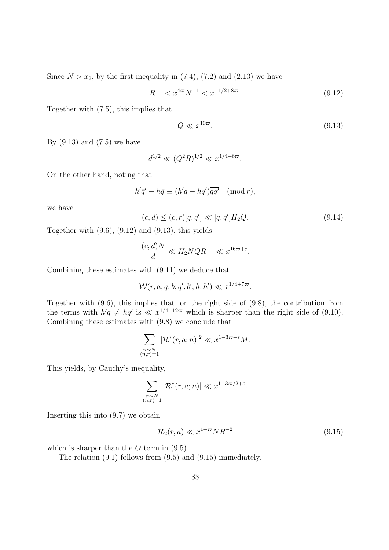Since  $N > x_2$ , by the first inequality in  $(7.4)$ ,  $(7.2)$  and  $(2.13)$  we have

$$
R^{-1} < x^{4\varpi} N^{-1} < x^{-1/2 + 8\varpi}.\tag{9.12}
$$

Together with (7.5), this implies that

$$
Q \ll x^{10\varpi}.\tag{9.13}
$$

By  $(9.13)$  and  $(7.5)$  we have

$$
d^{1/2} \ll (Q^2 R)^{1/2} \ll x^{1/4 + 6\pi}.
$$

On the other hand, noting that

$$
h'\bar{q}' - h\bar{q} \equiv (h'q - hq')\overline{qq'} \pmod{r},
$$

we have

$$
(c,d) \le (c,r)[q,q'] \ll [q,q']H_2Q. \tag{9.14}
$$

Together with  $(9.6)$ ,  $(9.12)$  and  $(9.13)$ , this yields

$$
\frac{(c,d)N}{d} \ll H_2 N Q R^{-1} \ll x^{16\varpi + \varepsilon}.
$$

Combining these estimates with (9.11) we deduce that

$$
\mathcal{W}(r, a; q, b; q', b'; h, h') \ll x^{1/4 + 7\varpi}.
$$

Together with (9.6), this implies that, on the right side of (9.8), the contribution from the terms with  $h'q \neq hq'$  is  $\ll x^{1/4+12\varpi}$  which is sharper than the right side of (9.10). Combining these estimates with (9.8) we conclude that

$$
\sum_{\substack{n \sim N \\ (n,r)=1}} |\mathcal{R}^*(r,a;n)|^2 \ll x^{1-3\varpi+\varepsilon} M.
$$

This yields, by Cauchy's inequality,

$$
\sum_{\substack{n\sim N\\(n,r)=1}}|\mathcal{R}^*(r,a;n)|\ll x^{1-3\varpi/2+\varepsilon}.
$$

Inserting this into (9.7) we obtain

$$
\mathcal{R}_2(r,a) \ll x^{1-\varpi} N R^{-2} \tag{9.15}
$$

which is sharper than the  $O$  term in  $(9.5)$ .

The relation (9.1) follows from (9.5) and (9.15) immediately.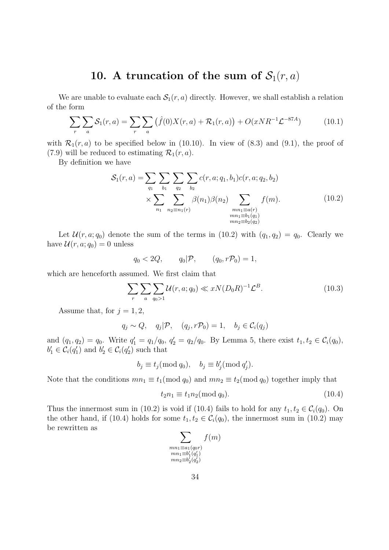### 10. A truncation of the sum of  $S_1(r, a)$

We are unable to evaluate each  $S_1(r, a)$  directly. However, we shall establish a relation of the form

$$
\sum_{r} \sum_{a} \mathcal{S}_1(r, a) = \sum_{r} \sum_{a} (\hat{f}(0)X(r, a) + \mathcal{R}_1(r, a)) + O(xNR^{-1}\mathcal{L}^{-87A}) \tag{10.1}
$$

with  $\mathcal{R}_1(r, a)$  to be specified below in (10.10). In view of (8.3) and (9.1), the proof of (7.9) will be reduced to estimating  $\mathcal{R}_1(r, a)$ .

By definition we have

$$
S_1(r, a) = \sum_{q_1} \sum_{b_1} \sum_{q_2} \sum_{b_2} c(r, a; q_1, b_1) c(r, a; q_2, b_2)
$$
  
 
$$
\times \sum_{n_1} \sum_{n_2 \equiv n_1(r)} \beta(n_1) \beta(n_2) \sum_{\substack{mn_1 \equiv a(r) \\ mn_1 \equiv b_1(q_1) \\ mn_2 \equiv b_2(q_2)}} f(m).
$$
 (10.2)

Let  $\mathcal{U}(r, a; q_0)$  denote the sum of the terms in (10.2) with  $(q_1, q_2) = q_0$ . Clearly we have  $\mathcal{U}(r, a; q_0) = 0$  unless

$$
q_0 < 2Q, \qquad q_0|\mathcal{P}, \qquad (q_0, r\mathcal{P}_0) = 1,
$$

which are henceforth assumed. We first claim that

$$
\sum_{r} \sum_{a} \sum_{q_0 > 1} \mathcal{U}(r, a; q_0) \ll xN(D_0 R)^{-1} \mathcal{L}^B. \tag{10.3}
$$

Assume that, for  $j = 1, 2$ ,

$$
q_j \sim Q
$$
,  $q_j | P$ ,  $(q_j, rP_0) = 1$ ,  $b_j \in C_i(q_j)$ 

and  $(q_1, q_2) = q_0$ . Write  $q'_1 = q_1/q_0$ ,  $q'_2 = q_2/q_0$ . By Lemma 5, there exist  $t_1, t_2 \in C_i(q_0)$ ,  $b'_1 \in \mathcal{C}_i(q'_1)$  and  $b'_2 \in \mathcal{C}_i(q'_2)$  such that

$$
b_j \equiv t_j \pmod{q_0}, \quad b_j \equiv b'_j \pmod{q'_j}.
$$

Note that the conditions  $mn_1 \equiv t_1 \pmod{q_0}$  and  $mn_2 \equiv t_2 \pmod{q_0}$  together imply that

$$
t_2 n_1 \equiv t_1 n_2 \pmod{q_0}.\tag{10.4}
$$

Thus the innermost sum in (10.2) is void if (10.4) fails to hold for any  $t_1, t_2 \in C_i(q_0)$ . On the other hand, if (10.4) holds for some  $t_1, t_2 \in C_i(q_0)$ , the innermost sum in (10.2) may be rewritten as

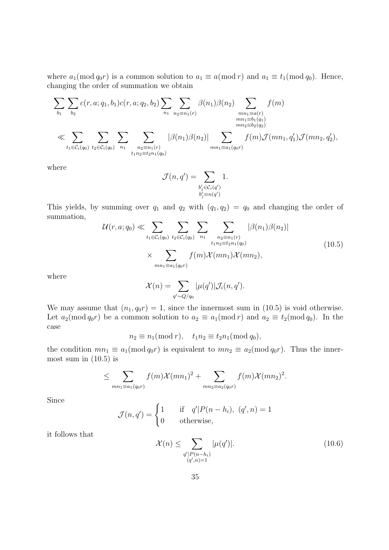where  $a_1 \text{ (mod } q_0 r)$  is a common solution to  $a_1 \equiv a \text{ (mod } r)$  and  $a_1 \equiv t_1 \text{ (mod } q_0)$ . Hence, changing the order of summation we obtain

$$
\sum_{b_1} \sum_{b_2} c(r, a; q_1, b_1) c(r, a; q_2, b_2) \sum_{n_1} \sum_{n_2 \equiv n_1(r)} \beta(n_1) \beta(n_2) \sum_{\substack{mn_1 \equiv a(r) \\ mn_2 \equiv b_1(q_1) \\ mn_2 \equiv b_2(q_2)}} f(m)
$$
  

$$
\ll \sum_{t_1 \in \mathcal{C}_i(q_0)} \sum_{t_2 \in \mathcal{C}_i(q_0)} \sum_{n_1} \sum_{\substack{n_2 \equiv n_1(r) \\ n_2 \equiv t_2n_1(q_0)}} |\beta(n_1)\beta(n_2)| \sum_{mn_1 \equiv a_1(q_0r)} f(m) \mathcal{J}(mn_1, q'_1) \mathcal{J}(mn_2, q'_2),
$$

where

$$
\mathcal{J}(n,q') = \sum_{\substack{b'_j \in \mathcal{C}_i(q') \\ b'_j \equiv n(q')}} 1.
$$

This yields, by summing over  $q_1$  and  $q_2$  with  $(q_1, q_2) = q_0$  and changing the order of summation,

$$
\mathcal{U}(r, a; q_0) \ll \sum_{t_1 \in C_i(q_0)} \sum_{t_2 \in C_i(q_0)} \sum_{n_1} \sum_{\substack{n_2 \equiv n_1(r) \\ t_1 n_2 \equiv t_2 n_1(q_0) \\ n_1 \equiv a_1(q_0 r)}} |\beta(n_1)\beta(n_2)|
$$
\n
$$
\times \sum_{mn_1 \equiv a_1(q_0 r)} f(m)\mathcal{X}(mn_1)\mathcal{X}(mn_2), \tag{10.5}
$$

where

$$
\mathcal{X}(n) = \sum_{q' \sim Q/q_0} |\mu(q')|\mathcal{J}_i(n,q').
$$

We may assume that  $(n_1, q_0r) = 1$ , since the innermost sum in (10.5) is void otherwise. Let  $a_2(\text{mod }q_0r)$  be a common solution to  $a_2 \equiv a_1(\text{mod }r)$  and  $a_2 \equiv t_2(\text{mod }q_0)$ . In the case

$$
n_2 \equiv n_1(\bmod r), \quad t_1 n_2 \equiv t_2 n_1(\bmod q_0),
$$

the condition  $mn_1 \equiv a_1 \pmod{q_0 r}$  is equivalent to  $mn_2 \equiv a_2 \pmod{q_0 r}$ . Thus the innermost sum in  $(10.5)$  is

$$
\leq \sum_{mn_1 \equiv a_1(q_0r)} f(m) \mathcal{X}(mn_1)^2 + \sum_{mn_2 \equiv a_2(q_0r)} f(m) \mathcal{X}(mn_2)^2.
$$

Since

$$
\mathcal{J}(n,q') = \begin{cases} 1 & \text{if } q'|P(n-h_i), (q',n) = 1 \\ 0 & \text{otherwise,} \end{cases}
$$

it follows that

$$
\mathcal{X}(n) \le \sum_{\substack{q'|P(n-h_i) \\ (q',n)=1}} |\mu(q')|.
$$
\n(10.6)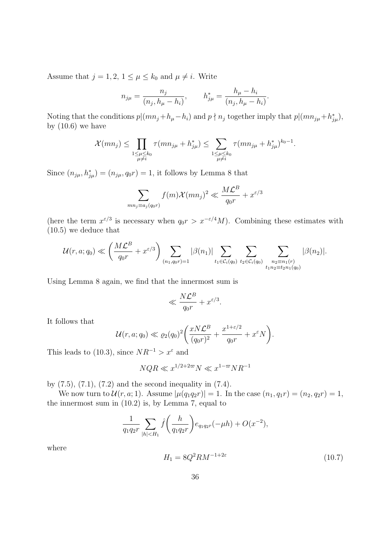Assume that  $j = 1, 2, 1 \leq \mu \leq k_0$  and  $\mu \neq i$ . Write

$$
n_{j\mu} = \frac{n_j}{(n_j, h_{\mu} - h_i)}, \qquad h_{j\mu}^* = \frac{h_{\mu} - h_i}{(n_j, h_{\mu} - h_i)}.
$$

Noting that the conditions  $p|(mn_j + h_\mu - h_i)$  and  $p \nmid n_j$  together imply that  $p|(mn_{j\mu} + h_{j\mu}^*)$ , by  $(10.6)$  we have

$$
\mathcal{X}(mn_j) \leq \prod_{\substack{1 \leq \mu \leq k_0 \\ \mu \neq i}} \tau(mn_{j\mu} + h_{j\mu}^*) \leq \sum_{\substack{1 \leq \mu \leq k_0 \\ \mu \neq i}} \tau(mn_{j\mu} + h_{j\mu}^*)^{k_0 - 1}.
$$

Since  $(n_{j\mu}, h_{j\mu}^*) = (n_{j\mu}, q_0 r) = 1$ , it follows by Lemma 8 that

$$
\sum_{mn_j \equiv a_j(q_0 r)} f(m) \mathcal{X}(mn_j)^2 \ll \frac{M\mathcal{L}^B}{q_0 r} + x^{\varepsilon/3}
$$

(here the term  $x^{\epsilon/3}$  is necessary when  $q_0r > x^{-\epsilon/4}M$ ). Combining these estimates with (10.5) we deduce that

$$
\mathcal{U}(r, a; q_0) \ll \left(\frac{M\mathcal{L}^B}{q_0r} + x^{\varepsilon/3}\right) \sum_{(n_1, q_0r)=1} |\beta(n_1)| \sum_{t_1 \in \mathcal{C}_i(q_0)} \sum_{t_2 \in \mathcal{C}_i(q_0)} \sum_{\substack{n_2 \equiv n_1(r) \\ t_1n_2 \equiv t_2n_1(q_0)}} |\beta(n_2)|.
$$

Using Lemma 8 again, we find that the innermost sum is

$$
\ll \frac{N\mathcal{L}^B}{q_0r} + x^{\varepsilon/3}.
$$

It follows that

$$
\mathcal{U}(r, a; q_0) \ll \varrho_2(q_0)^2 \bigg( \frac{xN\mathcal{L}^B}{(q_0r)^2} + \frac{x^{1+\varepsilon/2}}{q_0r} + x^{\varepsilon}N \bigg).
$$

This leads to (10.3), since  $NR^{-1} > x^{\varepsilon}$  and

$$
NQR\ll x^{1/2+2\varpi}N\ll x^{1-\varpi}NR^{-1}
$$

by (7.5), (7.1), (7.2) and the second inequality in (7.4).

We now turn to  $\mathcal{U}(r, a; 1)$ . Assume  $|\mu(q_1q_2r)| = 1$ . In the case  $(n_1, q_1r) = (n_2, q_2r) = 1$ , the innermost sum in (10.2) is, by Lemma 7, equal to

$$
\frac{1}{q_1 q_2 r} \sum_{|h| < H_1} \hat{f}\left(\frac{h}{q_1 q_2 r}\right) e_{q_1 q_2 r}(-\mu h) + O(x^{-2}),
$$

where

$$
H_1 = 8Q^2 R M^{-1+2\varepsilon} \tag{10.7}
$$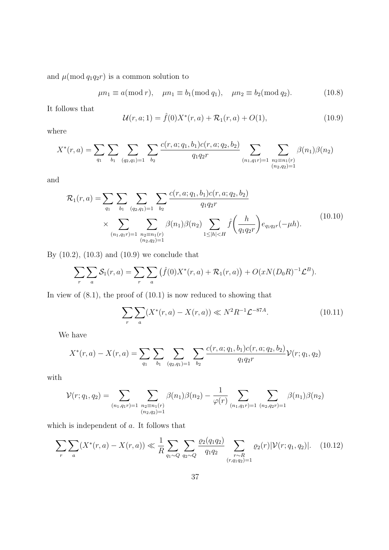and  $\mu \text{(mod } q_1 q_2 r)$  is a common solution to

$$
\mu n_1 \equiv a \pmod{r}, \quad \mu n_1 \equiv b_1 \pmod{q_1}, \quad \mu n_2 \equiv b_2 \pmod{q_2}.
$$
 (10.8)

It follows that

$$
\mathcal{U}(r, a; 1) = \hat{f}(0)X^*(r, a) + \mathcal{R}_1(r, a) + O(1), \qquad (10.9)
$$

where

$$
X^*(r, a) = \sum_{q_1} \sum_{b_1} \sum_{(q_2, q_1) = 1} \sum_{b_2} \frac{c(r, a; q_1, b_1) c(r, a; q_2, b_2)}{q_1 q_2 r} \sum_{\substack{(n_1, q_1 r) = 1 \\ (n_2, q_2) = 1}} \sum_{\substack{n_2 \equiv n_1(r) \\ (n_2, q_2) = 1}} \beta(n_1) \beta(n_2)
$$

and

$$
\mathcal{R}_1(r,a) = \sum_{q_1} \sum_{b_1} \sum_{(q_2,q_1)=1} \sum_{b_2} \frac{c(r,a;q_1,b_1)c(r,a;q_2,b_2)}{q_1q_2r} \times \sum_{\substack{(n_1,q_1r)=1}} \sum_{\substack{n_2 \equiv n_1(r) \\ (n_2,q_2)=1}} \beta(n_1)\beta(n_2) \sum_{1 \le |h| < H} \hat{f}\left(\frac{h}{q_1q_2r}\right) e_{q_1q_2r}(-\mu h). \tag{10.10}
$$

By (10.2), (10.3) and (10.9) we conclude that

$$
\sum_{r} \sum_{a} \mathcal{S}_1(r,a) = \sum_{r} \sum_{a} (\widehat{f}(0)X^*(r,a) + \mathcal{R}_1(r,a)) + O(xN(D_0R)^{-1}\mathcal{L}^B).
$$

In view of  $(8.1)$ , the proof of  $(10.1)$  is now reduced to showing that

$$
\sum_{r} \sum_{a} (X^*(r, a) - X(r, a)) \ll N^2 R^{-1} \mathcal{L}^{-87A}.
$$
 (10.11)

We have

$$
X^*(r, a) - X(r, a) = \sum_{q_1} \sum_{b_1} \sum_{(q_2, q_1) = 1} \sum_{b_2} \frac{c(r, a; q_1, b_1) c(r, a; q_2, b_2)}{q_1 q_2 r} \mathcal{V}(r; q_1, q_2)
$$

with

$$
\mathcal{V}(r;q_1,q_2) = \sum_{(n_1,q_1r)=1} \sum_{\substack{n_2 \equiv n_1(r) \\ (n_2,q_2)=1}} \beta(n_1)\beta(n_2) - \frac{1}{\varphi(r)} \sum_{(n_1,q_1r)=1} \sum_{(n_2,q_2r)=1} \beta(n_1)\beta(n_2)
$$

which is independent of a. It follows that

$$
\sum_{r} \sum_{a} (X^*(r, a) - X(r, a)) \ll \frac{1}{R} \sum_{q_1 \sim Q} \sum_{q_2 \sim Q} \frac{\varrho_2(q_1 q_2)}{q_1 q_2} \sum_{\substack{r \sim R \\ (r, q_1 q_2) = 1}} \varrho_2(r) |\mathcal{V}(r; q_1, q_2)|. \tag{10.12}
$$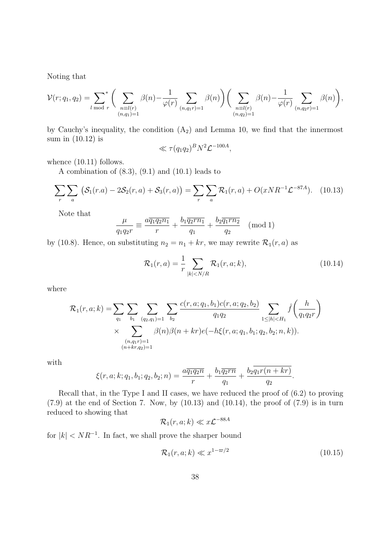Noting that

$$
\mathcal{V}(r; q_1, q_2) = \sum_{l \bmod r}^* \Bigg( \sum_{\substack{n \equiv l(r) \\ (n, q_1) = 1}} \beta(n) - \frac{1}{\varphi(r)} \sum_{(n, q_1 r) = 1} \beta(n) \Bigg) \Bigg( \sum_{\substack{n \equiv l(r) \\ (n, q_2) = 1}} \beta(n) - \frac{1}{\varphi(r)} \sum_{(n, q_2 r) = 1} \beta(n) \Bigg),
$$

by Cauchy's inequality, the condition  $(A_2)$  and Lemma 10, we find that the innermost sum in (10.12) is

$$
\ll \tau (q_1 q_2)^B N^2 \mathcal{L}^{-100A},
$$

whence  $(10.11)$  follows.

A combination of  $(8.3)$ ,  $(9.1)$  and  $(10.1)$  leads to

$$
\sum_{r} \sum_{a} \left( \mathcal{S}_1(r,a) - 2\mathcal{S}_2(r,a) + \mathcal{S}_3(r,a) \right) = \sum_{r} \sum_{a} \mathcal{R}_1(r,a) + O(xNR^{-1}\mathcal{L}^{-87A}). \tag{10.13}
$$

Note that

$$
\frac{\mu}{q_1 q_2 r} \equiv \frac{a \overline{q_1 q_2 n_1}}{r} + \frac{b_1 \overline{q_2 r n_1}}{q_1} + \frac{b_2 \overline{q_1 r n_2}}{q_2} \pmod{1}
$$

by (10.8). Hence, on substituting  $n_2 = n_1 + kr$ , we may rewrite  $\mathcal{R}_1(r, a)$  as

$$
\mathcal{R}_1(r,a) = \frac{1}{r} \sum_{|k| < N/R} \mathcal{R}_1(r,a;k),\tag{10.14}
$$

where

$$
\mathcal{R}_1(r, a; k) = \sum_{q_1} \sum_{b_1} \sum_{(q_2, q_1) = 1} \sum_{b_2} \frac{c(r, a; q_1, b_1) c(r, a; q_2, b_2)}{q_1 q_2} \sum_{1 \le |h| < H_1} \hat{f}\left(\frac{h}{q_1 q_2 r}\right)
$$
\n
$$
\times \sum_{\substack{(n, q_1 r) = 1 \\ (n + kr, q_2) = 1}} \beta(n) \beta(n + kr) e(-h\xi(r, a; q_1, b_1; q_2, b_2; n, k)).
$$

with

$$
\xi(r, a; k; q_1, b_1; q_2, b_2; n) = \frac{a\overline{q_1 q_2 n}}{r} + \frac{b_1 \overline{q_2 r n}}{q_1} + \frac{b_2 q_1 r(n + kr)}{q_2}.
$$

Recall that, in the Type I and II cases, we have reduced the proof of (6.2) to proving  $(7.9)$  at the end of Section 7. Now, by  $(10.13)$  and  $(10.14)$ , the proof of  $(7.9)$  is in turn reduced to showing that

$$
\mathcal{R}_1(r,a;k) \ll x\mathcal{L}^{-88A}
$$

for  $|k| < NR^{-1}$ . In fact, we shall prove the sharper bound

$$
\mathcal{R}_1(r, a; k) \ll x^{1 - \varpi/2} \tag{10.15}
$$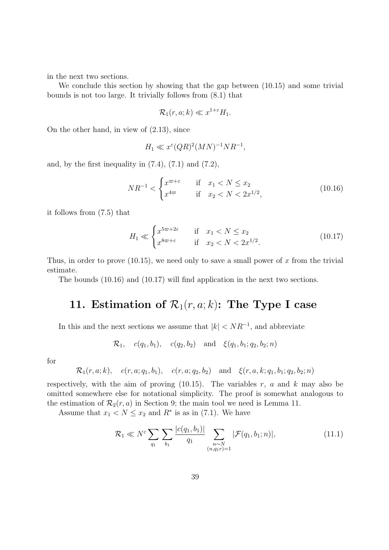in the next two sections.

We conclude this section by showing that the gap between (10.15) and some trivial bounds is not too large. It trivially follows from (8.1) that

$$
\mathcal{R}_1(r, a; k) \ll x^{1+\varepsilon} H_1.
$$

On the other hand, in view of (2.13), since

$$
H_1 \ll x^{\varepsilon} (QR)^2 (MN)^{-1} NR^{-1},
$$

and, by the first inequality in  $(7.4)$ ,  $(7.1)$  and  $(7.2)$ ,

$$
NR^{-1} < \begin{cases} x^{\varpi + \varepsilon} & \text{if } x_1 < N \le x_2 \\ x^{4\varpi} & \text{if } x_2 < N < 2x^{1/2}, \end{cases} \tag{10.16}
$$

it follows from (7.5) that

$$
H_1 \ll \begin{cases} x^{5\varpi + 2\varepsilon} & \text{if } x_1 < N \le x_2 \\ x^{8\varpi + \varepsilon} & \text{if } x_2 < N < 2x^{1/2} \end{cases} \tag{10.17}
$$

Thus, in order to prove  $(10.15)$ , we need only to save a small power of x from the trivial estimate.

The bounds (10.16) and (10.17) will find application in the next two sections.

### 11. Estimation of  $\mathcal{R}_1(r, a; k)$ : The Type I case

In this and the next sections we assume that  $|k| < NR^{-1}$ , and abbreviate

$$
\mathcal{R}_1, \quad c(q_1, b_1), \quad c(q_2, b_2) \quad \text{and} \quad \xi(q_1, b_1; q_2, b_2; n)
$$

for

$$
\mathcal{R}_1(r, a; k), \quad c(r, a; q_1, b_1), \quad c(r, a; q_2, b_2) \quad \text{and} \quad \xi(r, a, k; q_1, b_1; q_2, b_2; n)
$$

respectively, with the aim of proving  $(10.15)$ . The variables r, a and k may also be omitted somewhere else for notational simplicity. The proof is somewhat analogous to the estimation of  $\mathcal{R}_2(r, a)$  in Section 9; the main tool we need is Lemma 11.

Assume that  $x_1 < N \le x_2$  and  $R^*$  is as in (7.1). We have

$$
\mathcal{R}_1 \ll N^{\varepsilon} \sum_{q_1} \sum_{b_1} \frac{|c(q_1, b_1)|}{q_1} \sum_{\substack{n \sim N \\ (n, q_1 r) = 1}} |\mathcal{F}(q_1, b_1; n)|, \tag{11.1}
$$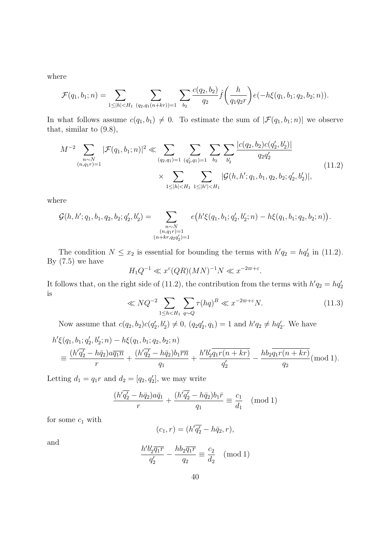where

$$
\mathcal{F}(q_1, b_1; n) = \sum_{1 \le |h| < H_1} \sum_{(q_2, q_1(n+kr)) = 1} \sum_{b_2} \frac{c(q_2, b_2)}{q_2} \hat{f}\left(\frac{h}{q_1 q_2 r}\right) e(-h\xi(q_1, b_1; q_2, b_2; n)).
$$

In what follows assume  $c(q_1, b_1) \neq 0$ . To estimate the sum of  $|\mathcal{F}(q_1, b_1; n)|$  we observe that, similar to (9.8),

$$
M^{-2} \sum_{\substack{n \sim N \\ (n,q_1r)=1}} |\mathcal{F}(q_1, b_1; n)|^2 \ll \sum_{(q_2, q_1)=1} \sum_{(q'_2, q_1)=1} \sum_{b_2} \sum_{b'_2} \frac{|c(q_2, b_2)c(q'_2, b'_2)|}{q_2 q'_2}
$$
  
 
$$
\times \sum_{1 \le |h| < H_1} \sum_{1 \le |h'| < H_1} |\mathcal{G}(h, h'; q_1, b_1, q_2, b_2; q'_2, b'_2)|,
$$
\n
$$
(11.2)
$$

where

$$
\mathcal{G}(h, h'; q_1, b_1, q_2, b_2; q'_2, b'_2) = \sum_{\substack{n \sim N \\ (n, q_1r) = 1 \\ (n + kr, q_2q'_2) = 1}} e(h'\xi(q_1, b_1; q'_2, b'_2; n) - h\xi(q_1, b_1; q_2, b_2; n)).
$$

The condition  $N \le x_2$  is essential for bounding the terms with  $h'q_2 = hq'_2$  in (11.2). By  $(7.5)$  we have

$$
H_1 Q^{-1} \ll x^{\varepsilon} (QR)(MN)^{-1}N \ll x^{-2\varpi + \varepsilon}.
$$

It follows that, on the right side of (11.2), the contribution from the terms with  $h'q_2 = hq'_2$ is

$$
\ll NQ^{-2} \sum_{1 \le h < H_1} \sum_{q \sim Q} \tau(hq)^B \ll x^{-2\varpi + \varepsilon} N. \tag{11.3}
$$

Now assume that  $c(q_2, b_2)c(q'_2, b'_2) \neq 0$ ,  $(q_2q'_2, q_1) = 1$  and  $h'q_2 \neq hq'_2$ . We have

$$
h'\xi(q_1, b_1; q'_2, b'_2; n) - h\xi(q_1, b_1; q_2, b_2; n)
$$
  
\n
$$
\equiv \frac{(h'q'_2 - h\bar{q}_2)a\bar{q}_1\bar{n}}{r} + \frac{(h'q'_2 - h\bar{q}_2)b_1\bar{r}\bar{n}}{q_1} + \frac{h'b'_2\bar{q}_1r(n + kr)}{q'_2} - \frac{hb_2\bar{q}_1r(n + kr)}{q_2} \pmod{1}.
$$

Letting  $d_1 = q_1 r$  and  $d_2 = [q_2, q'_2]$ , we may write

$$
\frac{(h'\overline{q_2} - h\overline{q_2})a\overline{q_1}}{r} + \frac{(h'\overline{q_2} - h\overline{q_2})b_1\overline{r}}{q_1} \equiv \frac{c_1}{d_1} \pmod{1}
$$

for some  $c_1$  with

$$
(c_1,r)=(h'\overline{q_2'}-h\overline{q}_2,r),
$$

and

$$
\frac{h'b'_2\overline{q_1r}}{q'_2} - \frac{hb_2\overline{q_1r}}{q_2} \equiv \frac{c_2}{d_2} \pmod{1}
$$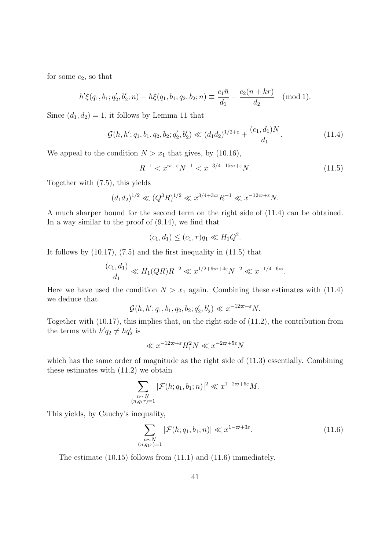for some  $c_2$ , so that

$$
h'\xi(q_1, b_1; q'_2, b'_2; n) - h\xi(q_1, b_1; q_2, b_2; n) \equiv \frac{c_1\bar{n}}{d_1} + \frac{c_2(n+kr)}{d_2} \pmod{1}.
$$

Since  $(d_1, d_2) = 1$ , it follows by Lemma 11 that

$$
\mathcal{G}(h, h'; q_1, b_1, q_2, b_2; q'_2, b'_2) \ll (d_1 d_2)^{1/2 + \varepsilon} + \frac{(c_1, d_1)N}{d_1}.
$$
\n(11.4)

We appeal to the condition  $N > x_1$  that gives, by (10.16),

$$
R^{-1} < x^{\varpi + \varepsilon} N^{-1} < x^{-3/4 - 15\varpi + \varepsilon} N. \tag{11.5}
$$

Together with (7.5), this yields

$$
(d_1 d_2)^{1/2} \ll (Q^3 R)^{1/2} \ll x^{3/4 + 3\varpi} R^{-1} \ll x^{-12\varpi + \varepsilon} N.
$$

A much sharper bound for the second term on the right side of (11.4) can be obtained. In a way similar to the proof of (9.14), we find that

$$
(c_1, d_1) \le (c_1, r)q_1 \ll H_1 Q^2.
$$

It follows by (10.17), (7.5) and the first inequality in (11.5) that

$$
\frac{(c_1, d_1)}{d_1} \ll H_1(QR)R^{-2} \ll x^{1/2 + 9\varpi + 4\varepsilon}N^{-2} \ll x^{-1/4 - 6\varpi}.
$$

Here we have used the condition  $N > x_1$  again. Combining these estimates with (11.4) we deduce that

$$
\mathcal{G}(h, h'; q_1, b_1, q_2, b_2; q'_2, b'_2) \ll x^{-12\varpi + \varepsilon} N.
$$

Together with (10.17), this implies that, on the right side of (11.2), the contribution from the terms with  $h'q_2 \neq hq'_2$  is

$$
\ll x^{-12\varpi+\varepsilon}H_1^2N \ll x^{-2\varpi+5\varepsilon}N
$$

which has the same order of magnitude as the right side of  $(11.3)$  essentially. Combining these estimates with (11.2) we obtain

$$
\sum_{\substack{n \sim N \\ (n,q_1r)=1}} |\mathcal{F}(h;q_1,b_1;n)|^2 \ll x^{1-2\varpi+5\varepsilon} M.
$$

This yields, by Cauchy's inequality,

$$
\sum_{\substack{n \sim N \\ (n,q_1r)=1}} |\mathcal{F}(h; q_1, b_1; n)| \ll x^{1-\varpi+3\varepsilon}.
$$
\n(11.6)

The estimate (10.15) follows from (11.1) and (11.6) immediately.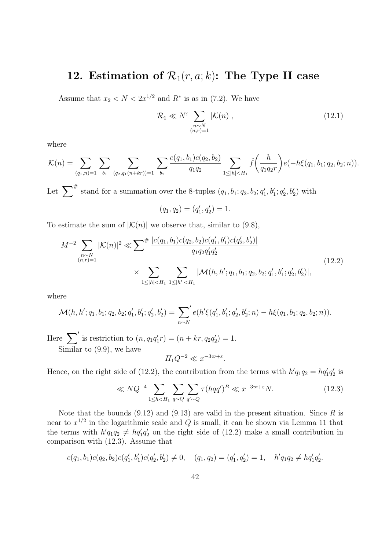### 12. Estimation of  $\mathcal{R}_1(r, a; k)$ : The Type II case

Assume that  $x_2 < N < 2x^{1/2}$  and  $R^*$  is as in (7.2). We have

$$
\mathcal{R}_1 \ll N^{\varepsilon} \sum_{\substack{n \sim N \\ (n,r)=1}} |\mathcal{K}(n)|,\tag{12.1}
$$

where

$$
\mathcal{K}(n) = \sum_{(q_1,n)=1} \sum_{b_1} \sum_{(q_2,q_1(n+kr))=1} \sum_{b_2} \frac{c(q_1,b_1)c(q_2,b_2)}{q_1q_2} \sum_{1 \leq |h| < H_1} \hat{f}\left(\frac{h}{q_1q_2r}\right) e(-h\xi(q_1,b_1;q_2,b_2;n)).
$$

Let  $\sum^{\#}$  stand for a summation over the 8-tuples  $(q_1, b_1; q_2, b_2; q'_1, b'_1; q'_2, b'_2)$  with

$$
(q_1, q_2) = (q'_1, q'_2) = 1.
$$

To estimate the sum of  $|\mathcal{K}(n)|$  we observe that, similar to (9.8),

$$
M^{-2} \sum_{\substack{n \sim N \\ (n,r)=1}} |\mathcal{K}(n)|^2 \ll \sum^{\#} \frac{|c(q_1, b_1)c(q_2, b_2)c(q'_1, b'_1)c(q'_2, b'_2)|}{q_1 q_2 q'_1 q'_2}
$$
  
 
$$
\times \sum_{1 \le |h| < H_1} \sum_{1 \le |h'| < H_1} |\mathcal{M}(h, h'; q_1, b_1; q_2, b_2; q'_1, b'_1; q'_2, b'_2)|,
$$
\n
$$
(12.2)
$$

where

$$
\mathcal{M}(h, h'; q_1, b_1; q_2, b_2; q'_1, b'_1; q'_2, b'_2) = \sum_{n \sim N}^{\prime} e(h'\xi(q'_1, b'_1; q'_2, b'_2; n) - h\xi(q_1, b_1; q_2, b_2; n)).
$$

Here  $\sum'$  is restriction to  $(n, q_1q'_1r) = (n + kr, q_2q'_2) = 1$ . Similar to (9.9), we have

$$
H_1 Q^{-2} \ll x^{-3\varpi + \varepsilon}.
$$

Hence, on the right side of (12.2), the contribution from the terms with  $h'q_1q_2 = hq'_1q'_2$  is

$$
\ll NQ^{-4} \sum_{1 \le h < H_1} \sum_{q \sim Q} \sum_{q' \sim Q} \tau(hqq')^B \ll x^{-3\varpi + \varepsilon} N. \tag{12.3}
$$

Note that the bounds  $(9.12)$  and  $(9.13)$  are valid in the present situation. Since R is near to  $x^{1/2}$  in the logarithmic scale and Q is small, it can be shown via Lemma 11 that the terms with  $h'q_1q_2 \neq hq'_1q'_2$  on the right side of (12.2) make a small contribution in comparison with (12.3). Assume that

$$
c(q_1, b_1)c(q_2, b_2)c(q'_1, b'_1)c(q'_2, b'_2) \neq 0, \quad (q_1, q_2) = (q'_1, q'_2) = 1, \quad h'q_1q_2 \neq hq'_1q'_2.
$$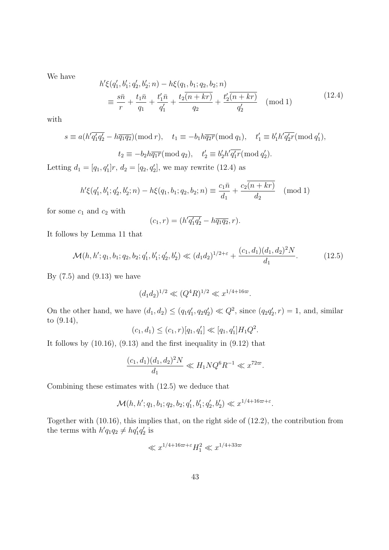We have

$$
h'\xi(q'_1, b'_1; q'_2, b'_2; n) - h\xi(q_1, b_1; q_2, b_2; n)
$$
  
\n
$$
\equiv \frac{s\bar{n}}{r} + \frac{t_1\bar{n}}{q_1} + \frac{t'_1\bar{n}}{q_1'} + \frac{t_2\bar{n} + kr}{q_2'} + \frac{t'_2\bar{n} + kr}{q_2'} \pmod{1}
$$
\n(12.4)

with

$$
s \equiv a(h'\overline{q'_1q'_2} - h\overline{q_1q_2})(\text{mod } r), \quad t_1 \equiv -b_1h\overline{q_2r}(\text{mod } q_1), \quad t'_1 \equiv b'_1h'\overline{q'_2r}(\text{mod } q'_1),
$$
  

$$
t_2 \equiv -b_2h\overline{q_1r}(\text{mod } q_2), \quad t'_2 \equiv b'_2h'\overline{q'_1r}(\text{mod } q'_2).
$$

Letting  $d_1 = [q_1, q'_1]r$ ,  $d_2 = [q_2, q'_2]$ , we may rewrite (12.4) as

$$
h'\xi(q'_1, b'_1; q'_2, b'_2; n) - h\xi(q_1, b_1; q_2, b_2; n) \equiv \frac{c_1\bar{n}}{d_1} + \frac{c_2(n+kr)}{d_2} \pmod{1}
$$

for some  $c_1$  and  $c_2$  with

$$
(c_1,r) = (h'\overline{q'_1q'_2} - h\overline{q_1q_2},r).
$$

It follows by Lemma 11 that

$$
\mathcal{M}(h, h'; q_1, b_1; q_2, b_2; q'_1, b'_1; q'_2, b'_2) \ll (d_1 d_2)^{1/2 + \varepsilon} + \frac{(c_1, d_1)(d_1, d_2)^2 N}{d_1}.
$$
 (12.5)

By  $(7.5)$  and  $(9.13)$  we have

$$
(d_1 d_2)^{1/2} \ll (Q^4 R)^{1/2} \ll x^{1/4 + 16\varpi}.
$$

On the other hand, we have  $(d_1, d_2) \leq (q_1 q'_1, q_2 q'_2) \ll Q^2$ , since  $(q_2 q'_2, r) = 1$ , and, similar to (9.14),

$$
(c_1, d_1) \le (c_1, r)[q_1, q'_1] \ll [q_1, q'_1]H_1Q^2.
$$

It follows by (10.16), (9.13) and the first inequality in (9.12) that

$$
\frac{(c_1, d_1)(d_1, d_2)^2 N}{d_1} \ll H_1 N Q^6 R^{-1} \ll x^{72\varpi}.
$$

Combining these estimates with (12.5) we deduce that

$$
\mathcal{M}(h, h'; q_1, b_1; q_2, b_2; q'_1, b'_1; q'_2, b'_2) \ll x^{1/4 + 16\varpi + \varepsilon}.
$$

Together with (10.16), this implies that, on the right side of (12.2), the contribution from the terms with  $h'q_1q_2 \neq hq'_1q'_2$  is

$$
\ll x^{1/4+16\varpi+\varepsilon}H_1^2 \ll x^{1/4+33\varpi}
$$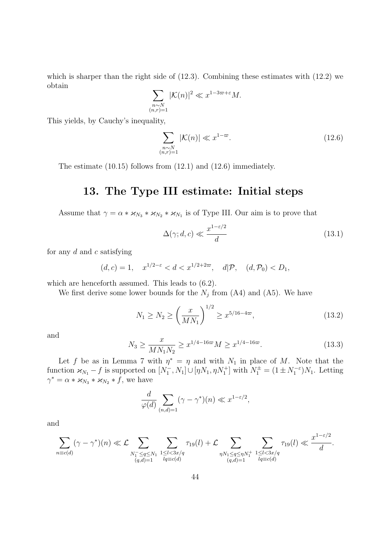which is sharper than the right side of  $(12.3)$ . Combining these estimates with  $(12.2)$  we obtain

$$
\sum_{\substack{n \sim N \\ (n,r)=1}} |\mathcal{K}(n)|^2 \ll x^{1-3\varpi+\varepsilon} M.
$$

This yields, by Cauchy's inequality,

$$
\sum_{\substack{n \sim N \\ (n,r)=1}} |\mathcal{K}(n)| \ll x^{1-\varpi}.
$$
\n(12.6)

The estimate (10.15) follows from (12.1) and (12.6) immediately.

#### 13. The Type III estimate: Initial steps

Assume that  $\gamma = \alpha * \varkappa_{N_3} * \varkappa_{N_2} * \varkappa_{N_1}$  is of Type III. Our aim is to prove that

$$
\Delta(\gamma; d, c) \ll \frac{x^{1-\varepsilon/2}}{d} \tag{13.1}
$$

for any  $d$  and  $c$  satisfying

$$
(d, c) = 1
$$
,  $x^{1/2-\epsilon} < d < x^{1/2+2\varpi}$ ,  $d|\mathcal{P}$ ,  $(d, \mathcal{P}_0) < D_1$ ,

which are henceforth assumed. This leads to (6.2).

We first derive some lower bounds for the  $N_j$  from (A4) and (A5). We have

$$
N_1 \ge N_2 \ge \left(\frac{x}{MN_1}\right)^{1/2} \ge x^{5/16 - 4\varpi},\tag{13.2}
$$

and

$$
N_3 \ge \frac{x}{MN_1N_2} \ge x^{1/4 - 16\varpi} M \ge x^{1/4 - 16\varpi}.
$$
\n(13.3)

Let f be as in Lemma 7 with  $\eta^* = \eta$  and with  $N_1$  in place of M. Note that the function  $\varkappa_{N_1} - f$  is supported on  $[N_1^-, N_1] \cup [\eta N_1, \eta N_1^+]$  with  $N_1^{\pm} = (1 \pm N_1^{-\varepsilon})N_1$ . Letting  $\gamma^* = \alpha * \varkappa_{N_3} * \varkappa_{N_2} * f$ , we have

$$
\frac{d}{\varphi(d)} \sum_{(n,d)=1} (\gamma - \gamma^*)(n) \ll x^{1-\varepsilon/2},
$$

and

$$
\sum_{n \equiv c(d)} (\gamma - \gamma^*)(n) \ll \mathcal{L} \sum_{\substack{N_1^- \leq q \leq N_1 \\ (q,d)=1}} \sum_{\substack{1 \leq l < 3x/q \\ l \neq x \in d}} \tau_{19}(l) + \mathcal{L} \sum_{\substack{\eta N_1 \leq q \leq \eta N_1^+ \\ (q,d)=1}} \sum_{\substack{1 \leq l < 3x/q \\ l \neq x \in d}} \tau_{19}(l) \ll \frac{x^{1-\varepsilon/2}}{d}.
$$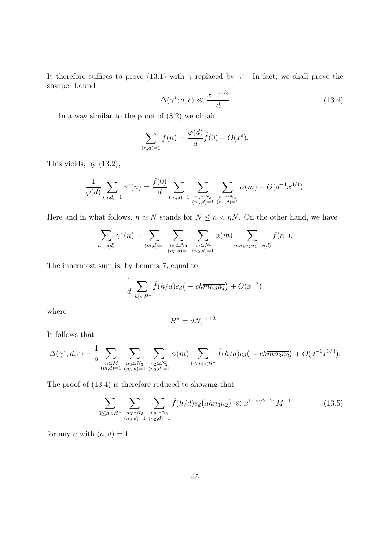It therefore suffices to prove (13.1) with  $\gamma$  replaced by  $\gamma^*$ . In fact, we shall prove the sharper bound

$$
\Delta(\gamma^*; d, c) \ll \frac{x^{1-\varpi/3}}{d} \tag{13.4}
$$

In a way similar to the proof of (8.2) we obtain

$$
\sum_{(n,d)=1} f(n) = \frac{\varphi(d)}{d} \hat{f}(0) + O(x^{\varepsilon}).
$$

This yields, by (13.2),

$$
\frac{1}{\varphi(d)} \sum_{(n,d)=1} \gamma^*(n) = \frac{\hat{f}(0)}{d} \sum_{(m,d)=1} \sum_{\substack{n_3 \simeq N_3 \\ (n_3,d)=1}} \sum_{\substack{n_2 \simeq N_2 \\ (n_2,d)=1}} \alpha(m) + O(d^{-1}x^{3/4}).
$$

Here and in what follows,  $n \simeq N$  stands for  $N \leq n < \eta N$ . On the other hand, we have

$$
\sum_{n \equiv c(d)} \gamma^*(n) = \sum_{(m,d)=1} \sum_{\substack{n_3 \simeq N_3 \\ (n_3,d)=1}} \sum_{\substack{n_2 \simeq N_2 \\ (n_2,d)=1}} \alpha(m) \sum_{mn_3n_2n_1 \equiv c(d)} f(n_1).
$$

The innermost sum is, by Lemma 7, equal to

$$
\frac{1}{d} \sum_{|h| < H^*} \hat{f}(h/d) e_d(-\,ch\overline{m n_3 n_2}) + O(x^{-2}),
$$

where

$$
H^* = dN_1^{-1+2\varepsilon}.
$$

It follows that

$$
\Delta(\gamma^*; d, c) = \frac{1}{d} \sum_{\substack{m \simeq M \\ (m,d)=1}} \sum_{\substack{n_3 \simeq N_3 \\ (n_3,d)=1}} \sum_{\substack{n_2 \simeq N_2 \\ (n_2,d)=1}} \alpha(m) \sum_{1 \leq |h| < H^*} \hat{f}(h/d) e_d(-ch\overline{mn_3n_2}) + O(d^{-1}x^{3/4}).
$$

The proof of (13.4) is therefore reduced to showing that

$$
\sum_{1 \le h < H^*} \sum_{\substack{n_3 \simeq N_3\\(n_3, d) = 1}} \sum_{\substack{n_2 \simeq N_2\\(n_2, d) = 1}} \hat{f}(h/d) e_d\left(ah\overline{n_3 n_2}\right) \ll x^{1 - \varpi/2 + 2\varepsilon} M^{-1} \tag{13.5}
$$

for any a with  $(a, d) = 1$ .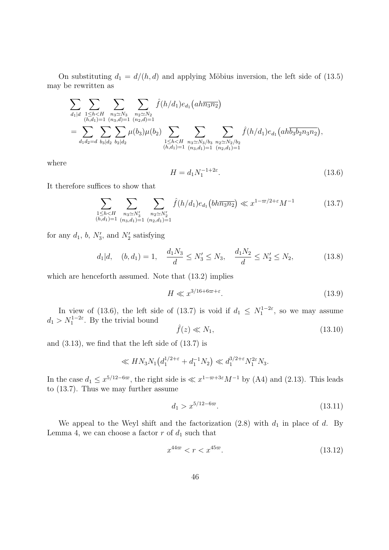On substituting  $d_1 = d/(h, d)$  and applying Möbius inversion, the left side of (13.5) may be rewritten as

$$
\sum_{d_1|d} \sum_{\substack{1 \le h < H \\ (h,d_1) = 1}} \sum_{\substack{n_3 \simeq N_3 \\ (n,d_1) = 1}} \sum_{\substack{n_3 \simeq N_3 \\ (n_3,d) = 1}} \sum_{\substack{n_2 \simeq N_2 \\ (n_2,d) = 1}} \hat{f}(h/d_1) e_{d_1}(ah\overline{n_3n_2})
$$
\n
$$
= \sum_{d_1d_2=d} \sum_{b_3|d_2} \sum_{b_2|d_2} \mu(b_3)\mu(b_2) \sum_{\substack{1 \le h < H \\ (h,d_1) = 1}} \sum_{\substack{n_3 \simeq N_3/b_3 \\ (n_3,d_1) = 1}} \sum_{\substack{n_2 \simeq N_2/b_2 \\ (n_2,d_1) = 1}} \hat{f}(h/d_1) e_{d_1}(ah\overline{b_3b_2n_3n_2}),
$$

where

$$
H = d_1 N_1^{-1+2\varepsilon}.
$$
\n(13.6)

It therefore suffices to show that

$$
\sum_{\substack{1 \le h < H \\ (h,d_1) = 1}} \sum_{\substack{n_3 \le N'_3 \\ (n_3,d_1) = 1}} \sum_{\substack{n_2 \le N'_2 \\ (n_2,d_1) = 1}} \hat{f}(h/d_1) e_{d_1}(bh\overline{n_3 n_2}) \ll x^{1 - \varpi/2 + \varepsilon} M^{-1}
$$
(13.7)

for any  $d_1$ ,  $b$ ,  $N'_3$ , and  $N'_2$  satisfying

$$
d_1|d,
$$
  $(b, d_1) = 1,$   $\frac{d_1 N_3}{d} \le N'_3 \le N_3,$   $\frac{d_1 N_2}{d} \le N'_2 \le N_2,$  (13.8)

which are henceforth assumed. Note that (13.2) implies

$$
H \ll x^{3/16 + 6\varpi + \varepsilon}.\tag{13.9}
$$

In view of (13.6), the left side of (13.7) is void if  $d_1 \n\t\le N_1^{1-2\varepsilon}$ , so we may assume  $d_1 > N_1^{1-2\varepsilon}$ . By the trivial bound

$$
\hat{f}(z) \ll N_1,\tag{13.10}
$$

and (3.13), we find that the left side of (13.7) is

$$
\ll H N_3 N_1 \left( d_1^{1/2+\epsilon} + d_1^{-1} N_2 \right) \ll d_1^{3/2+\epsilon} N_1^{2\epsilon} N_3.
$$

In the case  $d_1 \leq x^{5/12 - 6\varpi}$ , the right side is  $\ll x^{1-\varpi+3\varepsilon} M^{-1}$  by (A4) and (2.13). This leads to (13.7). Thus we may further assume

$$
d_1 > x^{5/12 - 6\varpi}.\tag{13.11}
$$

We appeal to the Weyl shift and the factorization  $(2.8)$  with  $d_1$  in place of d. By Lemma 4, we can choose a factor  $r$  of  $d_1$  such that

$$
x^{44\varpi} < r < x^{45\varpi}.\tag{13.12}
$$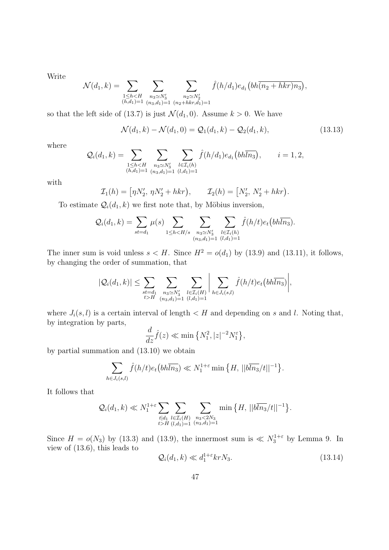Write

$$
\mathcal{N}(d_1,k) = \sum_{\substack{1 \le h < H \\ (h,d_1)=1}} \sum_{\substack{n_3 \simeq N'_3 \\ (n_3,d_1)=1}} \sum_{\substack{n_2 \simeq N'_2 \\ (n_2+hkr,d_1)=1}} \hat{f}(h/d_1) e_{d_1}(bh\overline{(n_2+hkr)n_3}),
$$

so that the left side of (13.7) is just  $\mathcal{N}(d_1, 0)$ . Assume  $k > 0$ . We have

$$
\mathcal{N}(d_1, k) - \mathcal{N}(d_1, 0) = \mathcal{Q}_1(d_1, k) - \mathcal{Q}_2(d_1, k), \tag{13.13}
$$

where

$$
Q_i(d_1, k) = \sum_{\substack{1 \le h < H \\ (h,d_1)=1}} \sum_{\substack{n_3 \simeq N'_3 \\ (n_3, d_1)=1}} \sum_{\substack{l \in \mathcal{I}_i(h) \\ (l, d_1)=1}} \hat{f}(h/d_1) e_{d_1}(bh\overline{ln_3}), \qquad i = 1, 2,
$$

with

$$
\mathcal{I}_1(h) = [\eta N'_2, \, \eta N'_2 + hkr), \qquad \mathcal{I}_2(h) = [N'_2, \, N'_2 + hkr).
$$

To estimate  $\mathcal{Q}_i(d_1,k)$  we first note that, by Möbius inversion,

$$
Q_i(d_1, k) = \sum_{st=d_1} \mu(s) \sum_{1 \leq h < H/s} \sum_{\substack{n_3 \simeq N'_3 \\ (n_3, d_1) = 1}} \sum_{\substack{l \in \mathcal{I}_i(h) \\ (l, d_1) = 1}} \hat{f}(h/t) e_t(b h \overline{ln_3}).
$$

The inner sum is void unless  $s < H$ . Since  $H^2 = o(d_1)$  by (13.9) and (13.11), it follows, by changing the order of summation, that

$$
|\mathcal{Q}_{i}(d_1,k)| \leq \sum_{\substack{st=d_1\\t > H}} \sum_{\substack{n_3 \simeq N'_3\\(n_3,d_1)=1}} \sum_{\substack{l \in \mathcal{I}_{i}(H)\\(l,d_1)=1}} \left| \sum_{h \in J_{i}(s,l)} \hat{f}(h/t) e_t\left(b h \overline{ln_3}\right) \right|,
$$

where  $J_i(s, l)$  is a certain interval of length  $\lt H$  and depending on s and l. Noting that, by integration by parts,

$$
\frac{d}{dz}\hat{f}(z) \ll \min\left\{N_1^2, |z|^{-2}N_1^{\varepsilon}\right\},\,
$$

by partial summation and (13.10) we obtain

$$
\sum_{h \in J_i(s,l)} \hat{f}(h/t) e_t \left(b h \overline{h_3}\right) \ll N_1^{1+\varepsilon} \min\left\{H, \, ||b \overline{h_3}/t||^{-1}\right\}.
$$

It follows that

$$
\mathcal{Q}_i(d_1,k) \ll N_1^{1+\varepsilon} \sum_{\substack{t|d_1 \\ t > H}} \sum_{\substack{l \in \mathcal{I}_i(H) \\ (l,d_1)=1}} \sum_{\substack{n_3 < 2N_3 \\ (n_3,d_1)=1}} \min\big\{H, \, ||b\overline{\ln_3}/t||^{-1}\big\}.
$$

Since  $H = o(N_3)$  by (13.3) and (13.9), the innermost sum is  $\ll N_3^{1+\epsilon}$  by Lemma 9. In view of (13.6), this leads to

$$
\mathcal{Q}_i(d_1, k) \ll d_1^{1+\varepsilon} k r N_3. \tag{13.14}
$$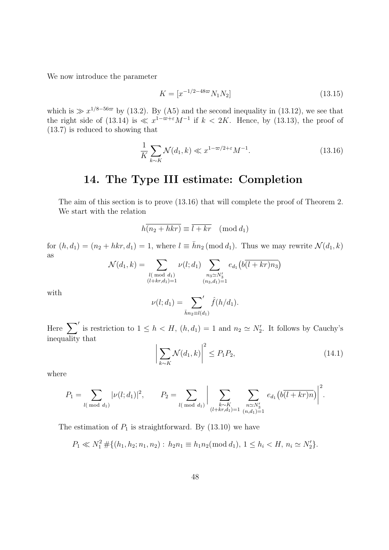We now introduce the parameter

$$
K = [x^{-1/2 - 48\varpi} N_1 N_2]
$$
\n(13.15)

which is  $\gg x^{1/8-56\varpi}$  by (13.2). By (A5) and the second inequality in (13.12), we see that the right side of (13.14) is  $\ll x^{1-\varpi+\varepsilon}M^{-1}$  if  $k < 2K$ . Hence, by (13.13), the proof of (13.7) is reduced to showing that

$$
\frac{1}{K} \sum_{k \sim K} \mathcal{N}(d_1, k) \ll x^{1 - \varpi/2 + \varepsilon} M^{-1}.
$$
\n(13.16)

### 14. The Type III estimate: Completion

The aim of this section is to prove (13.16) that will complete the proof of Theorem 2. We start with the relation

$$
h\overline{(n_2 + hkr)} \equiv \overline{l + kr} \pmod{d_1}
$$

for  $(h, d_1) = (n_2 + hkr, d_1) = 1$ , where  $l \equiv \bar{h}n_2 \pmod{d_1}$ . Thus we may rewrite  $\mathcal{N}(d_1, k)$ as

$$
\mathcal{N}(d_1, k) = \sum_{\substack{l(\bmod d_1) \\ (l+kr, d_1) = 1}} \nu(l; d_1) \sum_{\substack{n_3 \simeq N'_3 \\ (n_3, d_1) = 1}} e_{d_1}(b\overline{(l+kr)n_3})
$$

with

$$
\nu(l; d_1) = \sum_{\bar{h}n_2 \equiv l(d_1)}' \hat{f}(h/d_1).
$$

Here  $\sum'$  is restriction to  $1 \leq h < H$ ,  $(h, d_1) = 1$  and  $n_2 \simeq N'_2$ . It follows by Cauchy's inequality that

$$
\left| \sum_{k \sim K} \mathcal{N}(d_1, k) \right|^2 \le P_1 P_2,\tag{14.1}
$$

where

$$
P_1 = \sum_{l \pmod{d_1}} |\nu(l; d_1)|^2, \qquad P_2 = \sum_{l \pmod{d_1}} \left| \sum_{\substack{k \sim K \\ (l+kr, d_1) = 1}} \sum_{\substack{n \simeq N'_3 \\ (n, d_1) = 1}} e_{d_1}(b\overline{(l+kr)n}) \right|^2.
$$

The estimation of  $P_1$  is straightforward. By (13.10) we have

$$
P_1 \ll N_1^2 \# \{ (h_1, h_2; n_1, n_2) : h_2 n_1 \equiv h_1 n_2 \pmod{d_1}, 1 \le h_i < H, n_i \simeq N_2' \}.
$$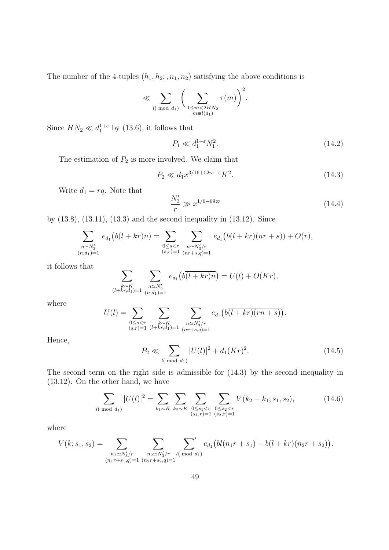The number of the 4-tuples  $(h_1, h_2; n_1, n_2)$  satisfying the above conditions is

$$
\ll \sum_{l(\bmod d_1)} \bigg(\sum_{\substack{1 \le m < 2HN_2 \\ m \equiv l(d_1)}} \tau(m)\bigg)^2.
$$

Since  $HN_2 \ll d_1^{1+\epsilon}$  by (13.6), it follows that

$$
P_1 \ll d_1^{1+\varepsilon} N_1^2. \tag{14.2}
$$

The estimation of  $P_2$  is more involved. We claim that

$$
P_2 \ll d_1 x^{3/16 + 52\varpi + \varepsilon} K^2. \tag{14.3}
$$

Write  $d_1 = rq$ . Note that

$$
\frac{N_3'}{r} \gg x^{1/6 - 69\varpi} \tag{14.4}
$$

by (13.8), (13.11), (13.3) and the second inequality in (13.12). Since

$$
\sum_{\substack{n \simeq N_3'\\(n,d_1)=1}} e_{d_1}(b(l+kr)n) = \sum_{\substack{0 \leq s < r\\(s,r)=1}} \sum_{\substack{n \simeq N_3'/r\\(nr+s,q)=1}} e_{d_1}(b(l+kr)(nr+s)) + O(r),
$$

it follows that

$$
\sum_{\substack{k \sim K \\ (l+kr,d_1)=1}} \sum_{\substack{n \sim N'_3 \\ (n,d_1)=1}} e_{d_1} \big( b\overline{(l+kr)n} \big) = U(l) + O(Kr),
$$

where

$$
U(l) = \sum_{\substack{0 \le s < r \\ (s,r)=1}} \sum_{\substack{k \sim K \\ (l+kr,d_1)=1}} \sum_{\substack{n \sim N_3'/r \\ (nr+s,q)=1}} e_{d_1}\big(b\overline{(l+kr)(rn+s)}\big).
$$

Hence,

$$
P_2 \ll \sum_{l(\bmod d_1)} |U(l)|^2 + d_1(Kr)^2.
$$
 (14.5)

The second term on the right side is admissible for (14.3) by the second inequality in (13.12). On the other hand, we have

$$
\sum_{l(\text{ mod } d_1)} |U(l)|^2 = \sum_{k_1 \sim K} \sum_{k_2 \sim K} \sum_{\substack{0 \le s_1 < r \\ (s_1, r) = 1}} \sum_{\substack{0 \le s_2 < r \\ (s_2, r) = 1}} V(k_2 - k_1; s_1, s_2),\tag{14.6}
$$

where

$$
V(k; s_1, s_2) = \sum_{\substack{n_1 \simeq N_3'/r \\ (n_1r + s_1, q) = 1}} \sum_{\substack{n_2 \simeq N_3'/r \\ (n_2r + s_2, q) = 1}} \sum_{l \pmod{d_1}}' e_{d_1} \left( b\overline{l(n_1r + s_1)} - b\overline{(l + kr)(n_2r + s_2)} \right).
$$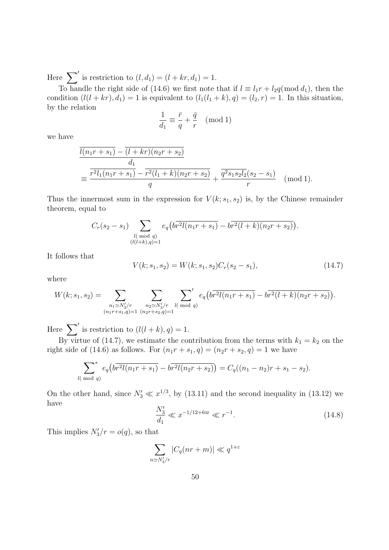Here  $\sum'$  is restriction to  $(l, d_1) = (l + kr, d_1) = 1$ .

To handle the right side of (14.6) we first note that if  $l \equiv l_1r + l_2q \pmod{d_1}$ , then the condition  $(l(l + kr), d_1) = 1$  is equivalent to  $(l_1(l_1 + k), q) = (l_2, r) = 1$ . In this situation, by the relation

$$
\frac{1}{d_1} \equiv \frac{\bar{r}}{q} + \frac{\bar{q}}{r} \pmod{1}
$$

we have

$$
\frac{\overline{l(n_1r+s_1)} - \overline{(l+kr)(n_2r+s_2)}}{d_1} = \frac{\overline{r^2l_1(n_1r+s_1)} - \overline{r^2(l_1+k)(n_2r+s_2)}}{q} + \frac{\overline{q^2s_1s_2l_2(s_2-s_1)}}{r} \pmod{1}.
$$

Thus the innermost sum in the expression for  $V(k; s_1, s_2)$  is, by the Chinese remainder theorem, equal to

$$
C_r(s_2 - s_1) \sum_{\substack{l(\bmod q) \\ (l(l+k),q)=1}} e_q(b\overline{r^2l(n_1r+s_1)} - b\overline{r^2(l+k)(n_2r+s_2)}).
$$

It follows that

$$
V(k; s_1, s_2) = W(k; s_1, s_2)C_r(s_2 - s_1),
$$
\n(14.7)

where

$$
W(k;s_1,s_2) = \sum_{\substack{n_1 \simeq N'_3/r \\ (n_1r+s_1,q)=1}} \sum_{\substack{n_2 \simeq N'_3/r \\ (n_2r+s_2,q)=1}} \sum_{l \pmod{q}} e_q(b\overline{r^2l(n_1r+s_1)} - b\overline{r^2(l+k)(n_2r+s_2)}).
$$

Here  $\sum'$  is restriction to  $(l(l + k), q) = 1$ .

By virtue of (14.7), we estimate the contribution from the terms with  $k_1 = k_2$  on the right side of (14.6) as follows. For  $(n_1r + s_1, q) = (n_2r + s_2, q) = 1$  we have

$$
\sum_{l(\bmod q)}^* e_q(b\overline{r^2l(n_1r+s_1)}-b\overline{r^2l(n_2r+s_2)})=C_q((n_1-n_2)r+s_1-s_2).
$$

On the other hand, since  $N'_3 \ll x^{1/3}$ , by (13.11) and the second inequality in (13.12) we have

$$
\frac{N_3'}{d_1} \ll x^{-1/12 + 6\varpi} \ll r^{-1}.
$$
\n(14.8)

This implies  $N'_3/r = o(q)$ , so that

$$
\sum_{n \simeq N_3'/r} |C_q(nr+m)| \ll q^{1+\varepsilon}
$$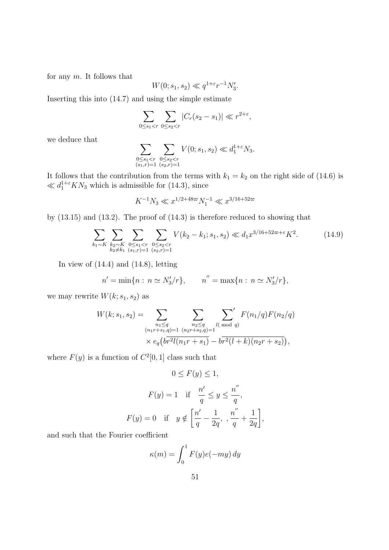for any  $m$ . It follows that

$$
W(0; s_1, s_2) \ll q^{1+\epsilon} r^{-1} N_3'.
$$

Inserting this into (14.7) and using the simple estimate

$$
\sum_{0 \le s_1 < r} \sum_{0 \le s_2 < r} |C_r(s_2 - s_1)| \ll r^{2 + \varepsilon},
$$

we deduce that

$$
\sum_{\substack{0 \le s_1 < r \\ (s_1,r)=1}} \sum_{\substack{0 \le s_2 < r \\ (s_2,r)=1}} V(0;s_1,s_2) \ll d_1^{1+\varepsilon} N_3.
$$

It follows that the contribution from the terms with  $k_1 = k_2$  on the right side of (14.6) is  $\ll d_1^{1+\epsilon}KN_3$  which is admissible for (14.3), since

$$
K^{-1}N_3 \ll x^{1/2 + 48\varpi} N_1^{-1} \ll x^{3/16 + 52\varpi}
$$

by (13.15) and (13.2). The proof of (14.3) is therefore reduced to showing that

$$
\sum_{k_1 \sim K} \sum_{\substack{k_2 \sim K \\ k_2 \neq k_1}} \sum_{\substack{0 \le s_1 < r \\ (s_1, r) = 1}} \sum_{\substack{0 \le s_2 < r \\ (s_2, r) = 1}} V(k_2 - k_1; s_1, s_2) \ll d_1 x^{3/16 + 52\varpi + \varepsilon} K^2. \tag{14.9}
$$

In view of  $(14.4)$  and  $(14.8)$ , letting

$$
n' = \min\{n : n \simeq N'_3/r\},
$$
  $n'' = \max\{n : n \simeq N'_3/r\},$ 

we may rewrite  $W(k; s_1, s_2)$  as

$$
W(k; s_1, s_2) = \sum_{\substack{n_1 \le q \\ (n_1r + s_1, q) = 1}} \sum_{\substack{n_2 \le q \\ (n_2r + s_2, q) = 1}} \sum_{\substack{l \pmod{q} \\ l \pmod{q} \\ k \equiv q}} F(n_1/q) F(n_2/q)
$$
  
 
$$
\times e_q \left( b \overline{r^2 l(n_1r + s_1)} - b \overline{r^2 (l+k)(n_2r + s_2)} \right),
$$

where  $F(y)$  is a function of  $C^2[0,1]$  class such that

$$
0 \le F(y) \le 1,
$$
  
\n
$$
F(y) = 1 \quad \text{if} \quad \frac{n'}{q} \le y \le \frac{n''}{q},
$$
  
\n
$$
F(y) = 0 \quad \text{if} \quad y \notin \left[\frac{n'}{q} - \frac{1}{2q}, \frac{n''}{q} + \frac{1}{2q}\right],
$$

and such that the Fourier coefficient

$$
\kappa(m) = \int_0^1 F(y)e(-my) dy
$$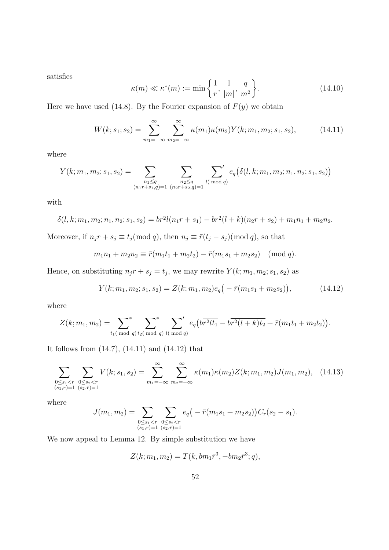satisfies

$$
\kappa(m) \ll \kappa^*(m) := \min\left\{\frac{1}{r}, \frac{1}{|m|}, \frac{q}{m^2}\right\}.
$$
\n(14.10)

Here we have used (14.8). By the Fourier expansion of  $F(y)$  we obtain

$$
W(k; s_1; s_2) = \sum_{m_1 = -\infty}^{\infty} \sum_{m_2 = -\infty}^{\infty} \kappa(m_1) \kappa(m_2) Y(k; m_1, m_2; s_1, s_2), \tag{14.11}
$$

where

$$
Y(k; m_1, m_2; s_1, s_2) = \sum_{\substack{n_1 \le q \\ (n_1r+s_1, q)=1}} \sum_{\substack{n_2 \le q \\ (n_2r+s_2, q)=1}} \sum_{l(\bmod q)} e_q(\delta(l, k; m_1, m_2; n_1, n_2; s_1, s_2))
$$

with

$$
\delta(l,k;m_1,m_2;n_1,n_2;s_1,s_2) = b\overline{r^2l(n_1r+s_1)} - b\overline{r^2(l+k)(n_2r+s_2)} + m_1n_1 + m_2n_2.
$$

Moreover, if  $n_j r + s_j \equiv t_j \pmod{q}$ , then  $n_j \equiv \bar{r}(t_j - s_j) \pmod{q}$ , so that

$$
m_1n_1 + m_2n_2 \equiv \bar{r}(m_1t_1 + m_2t_2) - \bar{r}(m_1s_1 + m_2s_2) \pmod{q}.
$$

Hence, on substituting  $n_j r + s_j = t_j$ , we may rewrite  $Y(k; m_1, m_2; s_1, s_2)$  as

$$
Y(k; m_1, m_2; s_1, s_2) = Z(k; m_1, m_2)e_q(-\bar{r}(m_1s_1 + m_2s_2)), \qquad (14.12)
$$

where

$$
Z(k; m_1, m_2) = \sum_{t_1 \pmod{q}} t_2 \sum_{\text{mod } q} t_2 \left( \frac{1}{\pmod{q}} \right) \sum_{l \pmod{q}} t_2 \left( \frac{1}{\pmod{q}} \right) \left( \frac{1}{\pmod{q}} \right) \left( \frac{1}{\pmod{q}} \right)
$$

It follows from (14.7), (14.11) and (14.12) that

$$
\sum_{\substack{0 \le s_1 < r \\ (s_1, r) = 1}} \sum_{\substack{0 \le s_2 < r \\ (s_2, r) = 1}} V(k; s_1, s_2) = \sum_{m_1 = -\infty}^{\infty} \sum_{m_2 = -\infty}^{\infty} \kappa(m_1) \kappa(m_2) Z(k; m_1, m_2) J(m_1, m_2), \quad (14.13)
$$

where

$$
J(m_1, m_2) = \sum_{\substack{0 \le s_1 < r \\ (s_1, r) = 1}} \sum_{\substack{0 \le s_2 < r \\ (s_2, r) = 1}} e_q(-\bar{r}(m_1 s_1 + m_2 s_2)) C_r(s_2 - s_1).
$$

We now appeal to Lemma 12. By simple substitution we have

$$
Z(k; m_1, m_2) = T(k, bm_1\bar{r}^3, -bm_2\bar{r}^3; q),
$$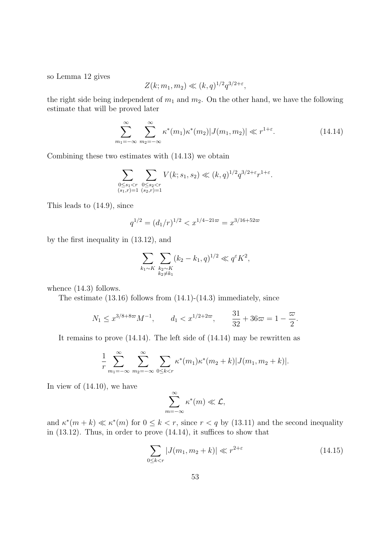so Lemma 12 gives

$$
Z(k; m_1, m_2) \ll (k, q)^{1/2} q^{3/2 + \varepsilon},
$$

the right side being independent of  $m_1$  and  $m_2$ . On the other hand, we have the following estimate that will be proved later

$$
\sum_{m_1=-\infty}^{\infty} \sum_{m_2=-\infty}^{\infty} \kappa^*(m_1) \kappa^*(m_2) |J(m_1, m_2)| \ll r^{1+\varepsilon}.
$$
 (14.14)

Combining these two estimates with (14.13) we obtain

$$
\sum_{\substack{0 \leq s_1 < r \\ (s_1,r) = 1}} \sum_{\substack{0 \leq s_2 < r \\ (s_2,r) = 1}} V(k;s_1,s_2) \ll (k,q)^{1/2} q^{3/2 + \varepsilon} r^{1+\varepsilon}.
$$

This leads to (14.9), since

$$
q^{1/2} = (d_1/r)^{1/2} < x^{1/4 - 21\varpi} = x^{3/16 + 52\varpi}
$$

by the first inequality in (13.12), and

$$
\sum_{k_1 \sim K} \sum_{\substack{k_2 \sim K \\ k_2 \neq k_1}} (k_2 - k_1, q)^{1/2} \ll q^{\varepsilon} K^2,
$$

whence  $(14.3)$  follows.

The estimate (13.16) follows from (14.1)-(14.3) immediately, since

$$
N_1 \le x^{3/8 + 8\varpi} M^{-1}
$$
,  $d_1 < x^{1/2 + 2\varpi}$ ,  $\frac{31}{32} + 36\varpi = 1 - \frac{\varpi}{2}$ .

It remains to prove (14.14). The left side of (14.14) may be rewritten as

$$
\frac{1}{r} \sum_{m_1=-\infty}^{\infty} \sum_{m_2=-\infty}^{\infty} \sum_{0 \le k < r} \kappa^*(m_1) \kappa^*(m_2 + k) |J(m_1, m_2 + k)|.
$$

In view of (14.10), we have

$$
\sum_{m=-\infty}^{\infty} \kappa^*(m) \ll \mathcal{L},
$$

and  $\kappa^*(m+k) \ll \kappa^*(m)$  for  $0 \leq k < r$ , since  $r < q$  by (13.11) and the second inequality in (13.12). Thus, in order to prove (14.14), it suffices to show that

$$
\sum_{0 \le k < r} |J(m_1, m_2 + k)| \ll r^{2 + \varepsilon} \tag{14.15}
$$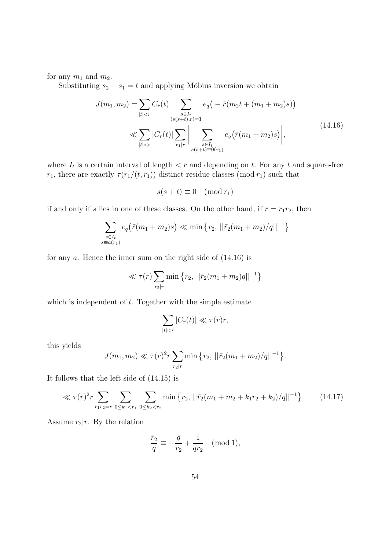for any  $m_1$  and  $m_2$ .

Substituting  $s_2 - s_1 = t$  and applying Möbius inversion we obtain

$$
J(m_1, m_2) = \sum_{|t| < r} C_r(t) \sum_{\substack{s \in I_t \\ (s(s+t), r) = 1}} e_q\left(-\bar{r}(m_2 t + (m_1 + m_2)s)\right)
$$
\n
$$
\ll \sum_{|t| < r} |C_r(t)| \sum_{r_1 | r} \left| \sum_{\substack{s \in I_t \\ s(s+t) \equiv 0(r_1)}} e_q\left(\bar{r}(m_1 + m_2)s\right) \right|,\tag{14.16}
$$

where  $I_t$  is a certain interval of length  $\lt r$  and depending on t. For any t and square-free  $r_1$ , there are exactly  $\tau(r_1/(t, r_1))$  distinct residue classes (mod  $r_1$ ) such that

$$
s(s+t) \equiv 0 \pmod{r_1}
$$

if and only if s lies in one of these classes. On the other hand, if  $r = r_1r_2$ , then

$$
\sum_{\substack{s \in I_t \\ s \equiv a(r_1)}} e_q(\bar{r}(m_1 + m_2)s) \ll \min\left\{r_2, \, ||\bar{r}_2(m_1 + m_2)/q||^{-1}\right\}
$$

for any  $a$ . Hence the inner sum on the right side of  $(14.16)$  is

$$
\ll \tau(r) \sum_{r_2 \mid r} \min \left\{ r_2, \, ||\bar{r}_2(m_1 + m_2)q||^{-1} \right\}
$$

which is independent of  $t$ . Together with the simple estimate

$$
\sum_{|t|< r} |C_r(t)| \ll \tau(r)r,
$$

this yields

$$
J(m_1, m_2) \ll \tau(r)^2 r \sum_{r_2 | r} \min \{r_2, \, ||\bar{r}_2(m_1 + m_2)/q||^{-1}\}.
$$

It follows that the left side of (14.15) is

$$
\ll \tau(r)^2 r \sum_{r_1 r_2 = r} \sum_{0 \le k_1 < r_1} \sum_{0 \le k_2 < r_2} \min \left\{ r_2, \left\| \bar{r}_2 (m_1 + m_2 + k_1 r_2 + k_2) / q \right\|^{-1} \right\}. \tag{14.17}
$$

Assume  $r_2|r$ . By the relation

$$
\frac{\bar{r}_2}{q} \equiv -\frac{\bar{q}}{r_2} + \frac{1}{qr_2} \pmod{1},
$$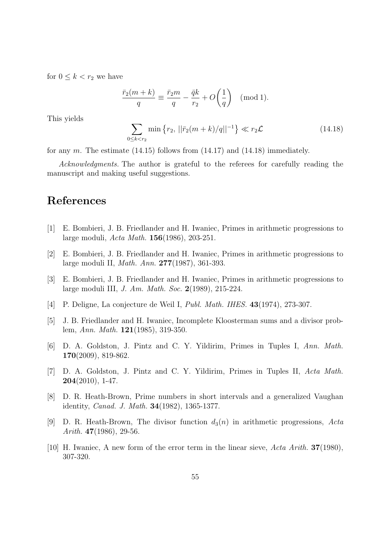for  $0 \leq k < r_2$  we have

$$
\frac{\bar{r}_2(m+k)}{q} \equiv \frac{\bar{r}_2 m}{q} - \frac{\bar{q}k}{r_2} + O\left(\frac{1}{q}\right) \pmod{1}.
$$

This yields

$$
\sum_{0 \le k < r_2} \min \left\{ r_2, \left| |\bar{r}_2(m+k)/q| \right|^{-1} \right\} \ll r_2 \mathcal{L} \tag{14.18}
$$

for any m. The estimate  $(14.15)$  follows from  $(14.17)$  and  $(14.18)$  immediately.

Acknowledgments. The author is grateful to the referees for carefully reading the manuscript and making useful suggestions.

### References

- [1] E. Bombieri, J. B. Friedlander and H. Iwaniec, Primes in arithmetic progressions to large moduli, Acta Math. 156(1986), 203-251.
- [2] E. Bombieri, J. B. Friedlander and H. Iwaniec, Primes in arithmetic progressions to large moduli II, Math. Ann. 277(1987), 361-393.
- [3] E. Bombieri, J. B. Friedlander and H. Iwaniec, Primes in arithmetic progressions to large moduli III, J. Am. Math. Soc. 2(1989), 215-224.
- [4] P. Deligne, La conjecture de Weil I, Publ. Math. IHES. 43(1974), 273-307.
- [5] J. B. Friedlander and H. Iwaniec, Incomplete Kloosterman sums and a divisor problem, Ann. Math. 121(1985), 319-350.
- [6] D. A. Goldston, J. Pintz and C. Y. Yildirim, Primes in Tuples I, Ann. Math. 170(2009), 819-862.
- [7] D. A. Goldston, J. Pintz and C. Y. Yildirim, Primes in Tuples II, Acta Math.  $204(2010)$ , 1-47.
- [8] D. R. Heath-Brown, Prime numbers in short intervals and a generalized Vaughan identity, Canad. J. Math. 34(1982), 1365-1377.
- [9] D. R. Heath-Brown, The divisor function  $d_3(n)$  in arithmetic progressions, Acta Arith. 47(1986), 29-56.
- [10] H. Iwaniec, A new form of the error term in the linear sieve, Acta Arith. 37(1980), 307-320.